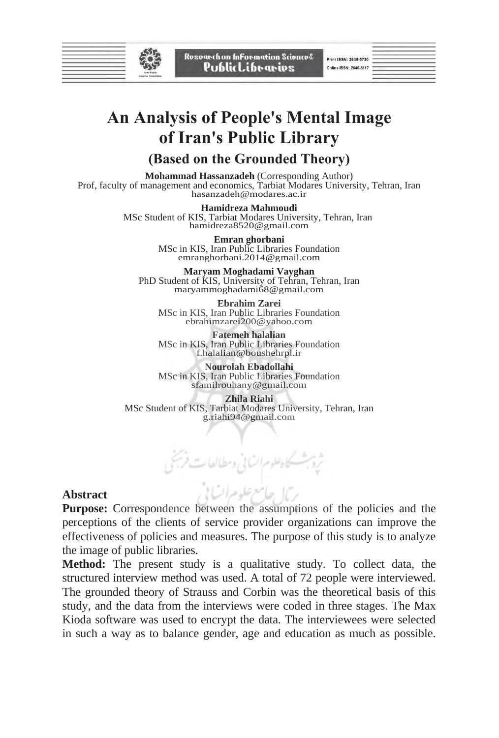

Rosvarch on InFormation Science& PublicLibraries

Print ISSN: 2645-5730 Online ISSN: 2645-6117

# **An Analysis of People's Mental Image of Iran's Public Library**

## **(Based on the Grounded Theory)**

**Mohammad Hassanzadeh** (Corresponding Author)Prof, faculty of management and economics, Tarbiat Modares University, Tehran, Iran hasanzadeh@modares.ac.ir

> **Hamidreza Mahmoudi**  MSc Student of KIS, Tarbiat Modares University, Tehran, Iran hamidreza8520@gmail.com

> > **Emran ghorbani**  MSc in KIS, Iran Public Libraries Foundation emranghorbani.2014@gmail.com

**Maryam Moghadami Vayghan**  PhD Student of KIS, University of Tehran, Tehran, Iran maryammoghadami68@gmail.com

**Ebrahim Zarei**  MSc in KIS, Iran Public Libraries Foundation ebrahimzarei200@yahoo.com

**Fatemeh halalian**  MSc in KIS, Iran Public Libraries Foundation f.halalian@boushehrpl.ir

**Nourolah Ebadollahi**  MSc in KIS, Iran Public Libraries Foundation sfamilrouhany@gmail.com

**Zhila Riahi**  MSc Student of KIS, Tarbiat Modares University, Tehran, Iran g.riahi94@gmail.com

بعرعله مرات

### **Abstract**

**Purpose:** Correspondence between the assumptions of the policies and the perceptions of the clients of service provider organizations can improve the effectiveness of policies and measures. The purpose of this study is to analyze the image of public libraries.

**Method:** The present study is a qualitative study. To collect data, the structured interview method was used. A total of 72 people were interviewed. The grounded theory of Strauss and Corbin was the theoretical basis of this study, and the data from the interviews were coded in three stages. The Max Kioda software was used to encrypt the data. The interviewees were selected in such a way as to balance gender, age and education as much as possible.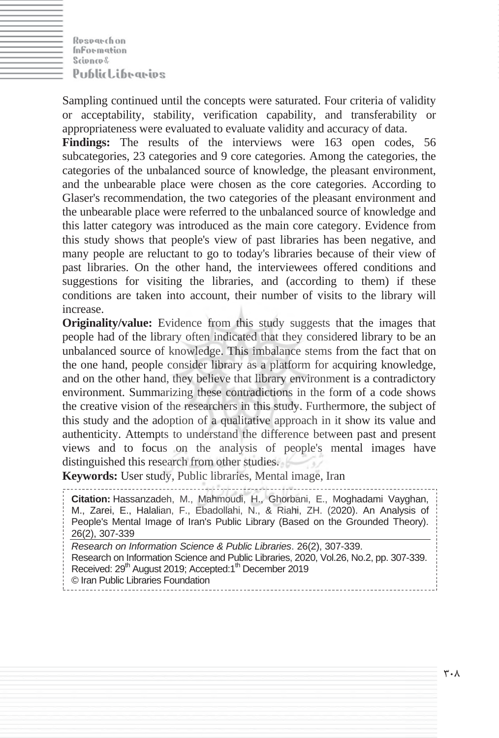Rosogechon **Information** Scienced **PublicLibraries** 

Sampling continued until the concepts were saturated. Four criteria of validity or acceptability, stability, verification capability, and transferability or appropriateness were evaluated to evaluate validity and accuracy of data.

**Findings:** The results of the interviews were 163 open codes, 56 subcategories, 23 categories and 9 core categories. Among the categories, the categories of the unbalanced source of knowledge, the pleasant environment, and the unbearable place were chosen as the core categories. According to Glaser's recommendation, the two categories of the pleasant environment and the unbearable place were referred to the unbalanced source of knowledge and this latter category was introduced as the main core category. Evidence from this study shows that people's view of past libraries has been negative, and many people are reluctant to go to today's libraries because of their view of past libraries. On the other hand, the interviewees offered conditions and suggestions for visiting the libraries, and (according to them) if these conditions are taken into account, their number of visits to the library will increase.

**Originality/value:** Evidence from this study suggests that the images that people had of the library often indicated that they considered library to be an unbalanced source of knowledge. This imbalance stems from the fact that on the one hand, people consider library as a platform for acquiring knowledge, and on the other hand, they believe that library environment is a contradictory environment. Summarizing these contradictions in the form of a code shows the creative vision of the researchers in this study. Furthermore, the subject of this study and the adoption of a qualitative approach in it show its value and authenticity. Attempts to understand the difference between past and present views and to focus on the analysis of people's mental images have distinguished this research from other studies.

**Keywords:** User study, Public libraries, Mental image, Iran

**Citation:** Hassanzadeh, M., Mahmoudi, H., Ghorbani, E., Moghadami Vayghan, M., Zarei, E., Halalian, F., Ebadollahi, N., & Riahi, ZH. (2020). An Analysis of People's Mental Image of Iran's Public Library (Based on the Grounded Theory). 26(2), 307-339 *Research on Information Science & Public Libraries*. 26(2), 307-339. Research on Information Science and Public Libraries, 2020, Vol.26, No.2, pp. 307-339. Received: 29<sup>th</sup> August 2019; Accepted:1<sup>th</sup> December 2019 © Iran Public Libraries Foundation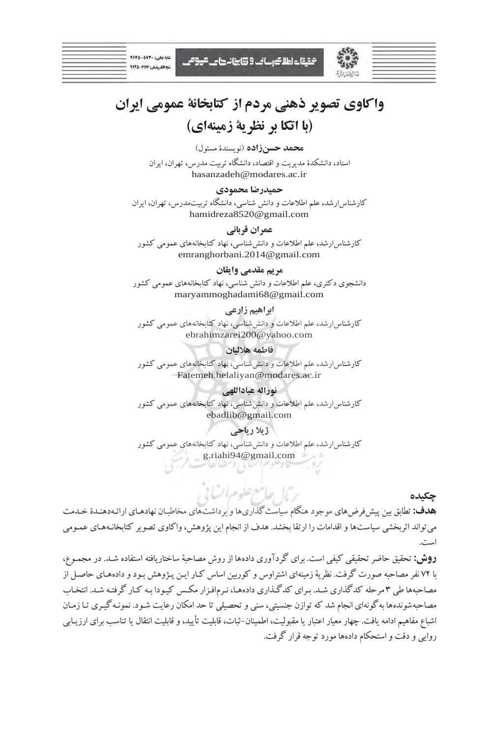| $Y9F\Delta-\Delta YT - i_{\text{rad}}D$ |
|-----------------------------------------|
| الكترونيكي: ٢٦١٧-٢٦٤٥                   |
|                                         |

شقيقات اطلاك رسائب 9 تتابينا نرهامي عروصي

| the control of the control of the control of the control of the control of the control of the control of the control of the control of the control of the control of the control of the control of the control of the control |  |
|-------------------------------------------------------------------------------------------------------------------------------------------------------------------------------------------------------------------------------|--|
|                                                                                                                                                                                                                               |  |
|                                                                                                                                                                                                                               |  |
|                                                                                                                                                                                                                               |  |
|                                                                                                                                                                                                                               |  |

# **واكاوي تصوير ذهني مردم از كتابخانة عمومي ايران (با اتكا بر نظرية زمينهاي)**

**محمد حسنزاده** (نويسندة ) مسئول

استاد، دانشكدة مديريت و اقتصاد، دانشگاه تربيت مدرس، تهران، ايران hasanzadeh@modares.ac.ir

#### **حميدرضا محمودي**

كارشناس ارشد، علم اطلاعات و دانش شناسي، دانشگاه تربيتمدرس، تهران، ايران hamidreza8520@gmail.com

#### **عمران قرباني**

كارشناس ارشد، علم اطلاعات و دانش شناسي، نهاد كتابخانههاي عمومي كشور emranghorbani.2014@gmail.com

#### **مريم مقدمي وايقان**

دانشجوي دكتري، علم اطلاعات و دانش شناسي، نهاد كتابخانههاي عمومي كشور maryammoghadami68@gmail.com

#### **ابراهيم زارعي**

كارشناسارشد، علم اطلاعات ودانششناسي، نهاد كتابخانههاي عمومي كشور ebrahimzarei200@yahoo.com

#### **فاطمه هلاليان**

كارشناسارشد، علم اطلاعات ودانششناسي، نهاد كتابخانههاي عمومي كشور Fatemeh.helaliyan@modares.ac.ir

#### **نوراله عباداللهي**

كارشناس ارشد، علم اطلاعات و دانش شناسي، نهاد كتابخانههاي عمومي كشور ebadlib@gmail.com

#### **ژيلا رياحي**

كارشناس ارشد، علم اطلاعات و دانش شناسي، نهاد كتابخانههاي عمومي كشور g.riahi94@gmail.com

#### **چكيده**

**هدف:** تطابق بين پيشفرضهاي موجودهنگام سياستگذاريهاوبرداشتهاي مخاطبـان نهادهـاي ارائـهدهنـدة خـدمت ميتواند اثربخشي سياستهاو اقدامات را ارتقا بخشد. هدف ازانجاماين پژوهش،واكاوي تصوير كتابخانـههـاي عمـومي است.

بأل جلاسع علوم السابي

**روش:** تحقيق حاضرتحقيقي كيفي است. براي گردآوري دادهها ازروش مصاحبة ساختاريافته استفاده شـد. در مجمـوع، با 72 نفرمصاحبه صورت گرفت. نظريةزمينهاي اشتراوس و كوربين اساس كـار ايـن پـژوهش بـودوداده هـاي حاصـل از مصاحبهها طي 3 مرحله كدگذاري شـد. بـراي كدگـذاري داده هـا، نـرم افـزار مكـس كيـودا بـه كـار گرفتـه شـد. انتخـاب مصاحبهشوندهها بهگونهاي انجام شد كهتوازن جنسيتي، سني وتحصيلي تا حد امكان رعايت شـود. نمونـه گيـري تـا زمـان اشباع مفاهيم ادامه يافت. چهار معيار اعتبار يا مقبوليت، اطمينان-ثبات، قابليت تأييد، و قابليت انتقال يا تناسب براي ارزيـابي روايي ودقت واستحكامدادهها موردتوجهقرار گرفت.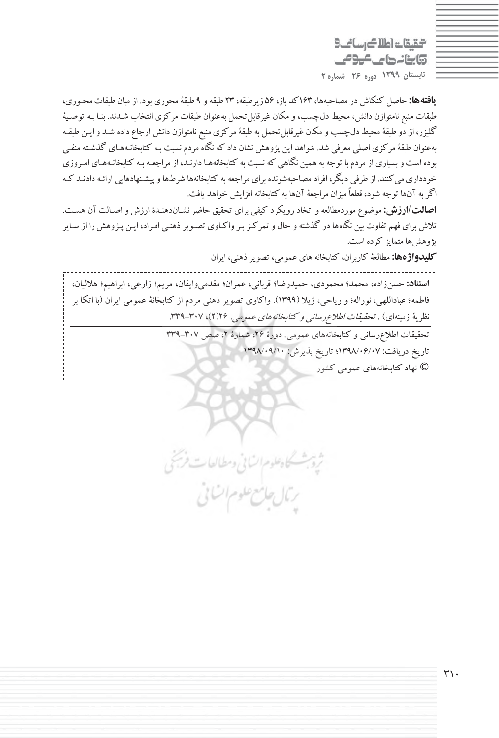التقيقات اطلاك رساني 3 وابنانها كالموص **تابستان 1399 دوره 26 شماره 2**

**يافتهها:** حاصل كنكاش درمصاحبهها، 163كد باز، 56 زيرطبقه، 23 طبقه و 9 طبقةمحوري بود. ازميان طبقات محـوري، طبقات منبع نامتوازن دانش، محيط دلچسب،ومكان غيرقابلتحمل بهعنوان طبقات مركزي انتخاب شـدند. بنـا بـه توصـية گليزر، از دو طبقهٔ محيط دل\$چسب و مكان غيرقابل تحمل به طبقهٔ مركزي منبع نامتوازن دانش ارجاع داده شـد و ايـن طبقـه بهعنوان طبقهٔ مركزي اصلي معرفي شد. شواهد اين پژوهش نشان داد كه نگاه مردم نسبت بـه كتابخانـههـاي گذشـته منفـي بوده است و بسياري از مردم با توجه به همين نگاهي كه نسبت به كتابخانههـا دارنـد، از مراجعـه بـه كتابخانـههـاي امـروزي خودداري مي كنند. از طرفي ديگر، افراد مصاحبهشونده براي مراجعه به كتابخانهها شرطها و پيشـنهادهايي ارائـه دادنـد كـه اگر به آنها توجه شود، قطعاً ميزان مراجعهٔ آنها به كتابخانه افزايش خواهد يافت.

**اصالت/ارزش:** موضوع موردمطالعهواتخاد رويكرد كيفي براي تحقيق حاضر نشـاندهنـدة ارزش واصـالت آن هسـت. تلاش براي فهم تفاوت بين نگاههادر گذشتهو حال وتمركـزبـرواكـاوي تصـويرذهنـي افـراد، ايـن پـژوهش را از سـاير پژوهشها متمايز كرده است.

**كليدواژهها:** مطالعة كاربران، كتابخانه هاي عمومي، تصويرذهني، ايران

**استناد:** حسنزاده، محمد؛ محمودي، حميدرضا؛ قرباني، عمران؛ مقدميوايقان، مريم؛ زارعي، ابراهيم؛ هلاليان، فاطمه؛ عباداللهي، نوراله؛ و رياحي، ژيلا (1399). واكاوي تصوير ذهني مردم از كتابخانة عمومي ايران (با اتكا بر نظرية زمينهاي) . *تحقيقات اطلاع رساني و كتابخانههاي عمومي.* ٢٢/ ٢)، ٣٠٧-٣٣٩. تحقيقات اطلاعرساني وكتابخانههاي عمومي. دورة ٢۶، شمارة ٢، صص ٣٠٧-٣٣٩ تاريخ دريافت: 1398/06/07؛ تاريخ پذيرش: 1398/09/10 © نهاد كتابخانههاي عمومي كشور

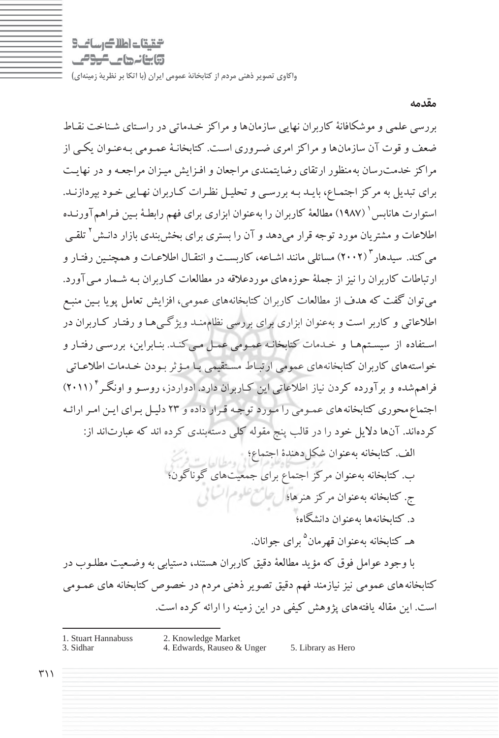$9 - i$  and  $4$  and  $6 - 7$ **تابنانهای موص** 

بررسي علمي و موشكافانة كاربران نهايي سازمانها و مراكز خـدماتي در راسـتاي شـناخت نقـاط ضعف و قوت آن سازمانها ومراكزامري ضـروري اسـت. كتابخانـة عمـومي بـه عنـوان يكـي از مراكز خدمترسان بهمنظور ارتقاي رضايتمندي مراجعان و افـزايش ميـزان مراجعـه و در نهايـت براي تبديل به مركزاجتمـاع، بايـد بـه بررسـي و تحليـل نظـرات كـاربران نهـايي خـود بپردازنـد. استوارت هانابس ( ۱۹۸۷) مطالعهٔ كاربران را بهعنوان ابزاري براي فهم رابطـهٔ بـين فـراهم آورنـده اطلاعات و مشتريان مورد توجه قرار ميدهد و آن را بستري براي بخشبندي بازار دانـش<sup>۲</sup> تلقـي مي كند. سيدهار ٢٠٠٢) مسائلي مانند اشـاعه، كاربسـت و انتقـال اطلاعـات و همچنـين رفتـار و ارتباطات كاربران را نيزاز جملة حوزههاي موردعلاقه در مطالعات كـاربران بـه شـمار مـيآورد. ميتوان گفت كه هدف از مطالعات كاربران كتابخانههاي عمومي، افزايش تعامل پويا بـين منبـع اطلاعاتي و كاربر است و بهعنوان ابزاري براي بررسي نظاممنـد ويژگـيهـا و رفتـار كـاربران در اسـتفاده از سيسـتمهـا و خـدمات كتابخانـه عمـومي عمـل مـيكنـد. بنـابراين، بررسـي رفتـار و خواستههاي كاربران كتابخانههاي عمومي ارتبـاط مسـتقيمي بـا مـؤثربـودن خـدمات اطلاعـاتي ( 2011) 4 فراهمشده و برآورده كردن نياز اطلاعاتي اين كـاربران دارد. ادواردز، روسـو و اونگـر اجتماعمحوري كتابخانههاي عمـومي را مـورد توجـه قـرار داده و 23 دليـل بـراي ايـن امـر ارائـه كردهاند. آنها دلايل خود را در قالب پنج مقوله كلي دستهبندي كرده اند كه عبارتاند از:

> الف. كتابخانه بهعنوان شكل دهندة اجتماع؛<br>. ب. كتابخانه بهعنوان مركز اجتماع براي جمعيتهاي گوناگون؛ ج. كتابخانه بهعنوان مركز هنرها؛ د. كتابخانهها بهعنوان دانشگاه؛

> > هـ كتابخانه بهعنوان قهرمان<sup>۵</sup> براي جوانان.

با وجود عوامل فوق كه مؤيد مطالعة دقيق كاربران هستند، دستيابي به وضـعيت مطلـوب رد كتابخانه هاي عمومي نيز نيازمند فهم دقيق تصوير ذهني مردم در خصوص كتابخانه هاي عمـومي است. اين مقاله يافتههاي پژوهش كيفي در اين زمينه را ارائه كرده است.

- 1. Stuart Hannabuss 2. Knowledge Market
	- 4. Edwards, Rauseo & Unger 5. Library as Hero
	-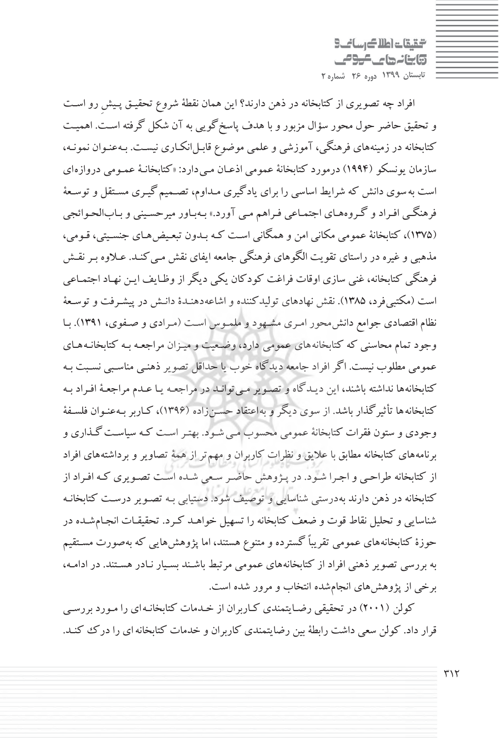التقيقات اطلاك رساني وابنانها كالموامي **تابستان 1399 دوره 26 شماره 2**

افراد چه تصويري از كتابخانه در ذهن دارند؟ اين همان نقطة شروع تحقيـق پـيشِ رو اسـت و تحقيق حاضر حول محور سؤال مزبور و با هدف پاسخگويي به آن شكل گرفته اسـت. اهميـت كتابخانه در زمينههاي فرهنگي، آموزشي و علمي موضوع قابـل|نكـاري نيسـت. بـهعنـوان نمونـه، سازمان يونسكو (١٩٩۴) درمورد كتابخانة عمومي اذعـان مـي دارد: «كتابخانـهٔ عمـومي دروازهاي است بهسوي دانش كه شرايط اساسي را براي يادگيري مـداوم، تصـميم گيـري مسـتقل و توسـعة فرهنگـي افـراد و گـروههـاي اجتمـاعي فـراهم مـي آورد ». بـهبـاور ميرحسـيني و بـابالحـوائجي (1375)، كتابخانة عمومي مكاني امن و همگاني اسـت كـه بـدون تبعـيض هـاي جنسـيتي، قـومي، مذهبي و غيره در راستاي تقويت الگوهاي فرهنگي جامعه ايفاي نقش مـي كنـد. عـلاوه بـر نقـش فرهنگي كتابخانه، غني سازي اوقات فراغت كودكان يكي ديگراز وظـايف ايـن نهـاد اجتمـاعي است (مكتبيفرد، 1385). نقش نهادهاي توليدكننده و اشاعه دهنـدة دانـش در پيشـرفت و توسـعة نظام اقتصادي جوامع دانشمحور امـري مشـهود و ملمـوس اسـت (مـرادي و صـفوي، 1391). بـا وجود تمام محاسني كه كتابخانههاي عمومي دارد، وضـعيت و ميـزان مراجعـه بـه كتابخانـه هـاي عمومي مطلوب نيست. اگرافراد جامعه ديدگاه خوب يا حداقل تصوير ذهنـي مناسـبي نسـبت بـه كتابخانهها نداشته باشند، اين ديـدگاه و تصـوير مـي توانـد در مراجعـه يـا عـدم مراجعـة افـراد بـه كتابخانهها تأثيرگذار باشد. از سوي ديگرو بهاعتقاد حسـنزاده (1396)، كـاربر بـهعنـوان فلسـفة وجودي و ستون فقرات كتابخانة عمومي محسوب مـي شـود. بهتـر اسـت كـه سياسـت گـذاري و برنامههاي كتابخانه مطابق با علايق و نظرات كاربران و مهمتر از همة تصاوير و برداشتههاي افراد از كتابخانه طراحـي و اجـرا شـود. در پـژوهش حاضـر سـعي شـده اسـت تصـويري كـه افـراد از كتابخانه در ذهن دارند بهدرستي شناسايي و توصيف شود. دستيابي بـه تصـوير درسـت كتابخانـه شناسايي وتحليل نقاط قوت و ضعف كتابخانه را تسهيل خواهـد كـرد . تحقيقـات انجـامشـده در حوزة كتابخانههاي عمومي تقريباً گسترده و متنوع هستند، اما پژوهشهايي كه بهصورت مسـتقيم به بررسي تصوير ذهني افراد از كتابخانههاي عمومي مرتبط باشـند بسـيار نـادر هسـتند. در ادامـه، برخي از پژوهشهاي انجامشده انتخاب و مرور شده است.

كولن (2001) در تحقيقي رضـايتمندي كـاربران از خـدمات كتابخانـهاي را مـورد بررسـي قرار داد. كولن سعي داشت رابطة بين رضايتمندي كاربران و خدمات كتابخانهاي را درك كنـد.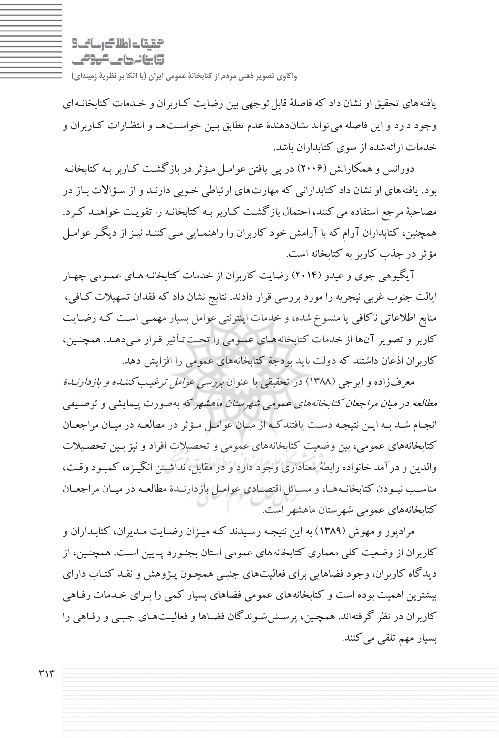التالي بالتاكر سانحا وابنانها ماكومي

يافته هاي تحقيق او نشان داد كه فاصلهٔ قابل توجهي بين رضايت كـاربران و خـدمات كتابخانـه اي وجود دارد و اين فاصله ميتواند نشاندهندة عدم تطابق بـين خواسـتهـا و انتظـارات كـاربران و خدمات ارائهشده از سوي كتابداران باشد.

دورانس و همكارانش ( 2006) در پي يافتن عوامـل مـؤثردر بازگشـت كـاربر بـه كتابخانـه بود. يافتههاي او نشان داد كتابداراني كه مهارتهاي ارتباطي خـوبي دارنـد و از سـؤالات بـاز در مصاحبة مرجع استفاده ميكنند، احتمال بازگشـت كـاربر بـه كتابخانـه را تقويـت خواهنـد كـرد. همچنين، كتابداران آرام كه با آرامش خود كاربران را راهنمـايي مـي كننـد نيـزاز ديگـر عوامـل مؤثر در جذب كاربر به كتابخانه است.

آيگيوهي جوي و عيدو( 2014) رضايت كاربران از خدمات كتابخانـه هـاي عمـومي چهـار ايالت جنوب غربي نيجريه را مورد بررسي قرار دادند. نتايج نشان داد كه فقدان تسهيلات كـافي، منابع اطلاعاتي ناكافي يا منسوخشده، و خدمات اينترنتي عوامل بسيار مهمـي اسـت كـه رضـايت كاربر و تصوير آنها از خدمات كتابخانه هـاي عمـومي را تحـت تـأثير قـرار مـي دهـد. همچنـين، كاربران اذعان داشتند كه دولت بايد بودجة كتابخانههاي عمومي را افزايش دهد .

معرفزاده و ايرجي (١٣٨٨) در تحقيقي با عنوان بررسي *عوامل ترغيب كننـده و بازدارنـدة* مطالعه در ميان مراجعان كتابخانههاي عمومي شهرستان ماهشهركه بهصورت پيمايشي و توصـيفي انجـام شـد بـه ايـن نتيجـه دسـت يافتندكـه از ميـان عوامـل مـؤثر دردر مطالعـه ميـان مراجعـان كتابخانههاي عمومي، بين وضعيت كتابخانههاي عمومي و تحصيلات افراد و نيزبـين تحصـيلات والدين و درآمد خانواده رابطة معناداري وجود دارد و در مقابل، نداشـتن انگيـزه، كمبـود وقـت، مناســب نبــودن كتابخانــههــا، و مســائل اقتصــادي عوامــل بازدارنــدة مطالعــه در ميــان مراجعــان كتابخانههاي عمومي شهرستان ماهشهر است .

مرادپور و مهوش (1389) به اين نتيجـه رسـيدند كـه ميـزان رضـايت مـديران، كتابـداران و كاربران از وضعيت كلي معماري كتابخانههاي عمومي استان بجنـورد پـايين اسـت. همچنـين، از ديدگاه كاربران، وجود فضاهايي براي فعاليتهاي جنبـي همچـون پـژوهش و نقـد كتـاب داراي بيشترين اهميت بوده است و كتابخانههاي عمومي فضاهاي بسيار كمي را بـراي خـدمات رفـاهي كاربران در نظر گرفتهاند. همچنين، پرسـششـوندگان فضـاها و فعاليـتهـاي جنبـي و رفـاهي را بسيار مهم تلقي مي كنند.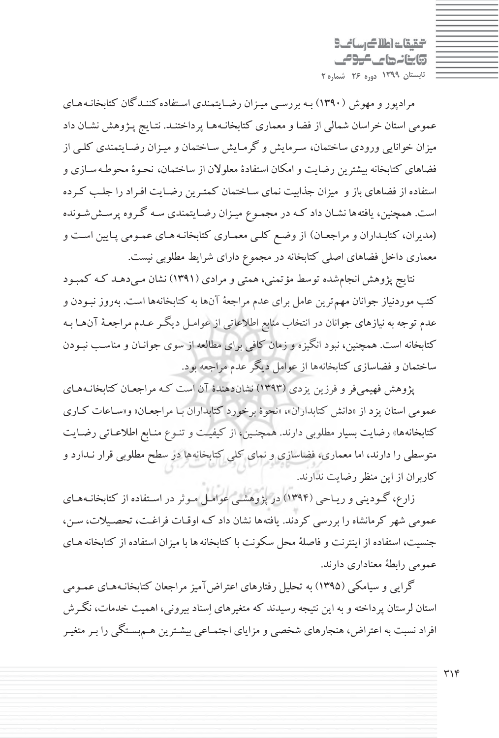التقيقات اطلاك رساني وابنانها كالموامي **تابستان 1399 دوره 26 شماره 2**

مرادپور و مهوش (1390) بـه بررسـي ميـزان رضـايتمندي اسـتفاده كننـدگان كتابخانـه هـاي عمومي استان خراسان شمالي از فضا ومعماري كتابخانـههـا پرداختنـد . نتـايج پـژوهش نشـان داد ميزان خوانايي ورودي ساختمان، سـرمايش و گرمـايش سـاختمان و ميـزان رضـايتمندي كلـي از فضاهاي كتابخانه بيشترين رضايت و امكان استفادة معلولان از ساختمان، نحـوة محوطـه سـازي و استفاده از فضاهاي باز و ميزان جذابيت نماي سـاختمان كمتـرين رضـايت افـراد را جلـب كـرده است . همچنين، يافتهها نشـان داد كـه در مجمـوع ميـزان رضـايتمندي سـه گـروه پرسـش شـونده (مديران، كتابـداران و مراجعـان ) از وضـع كلـي معمـاري كتابخانـه هـاي عمـومي پـايين اسـت و معماري داخل فضاهاي اصلي كتابخانه در مجموع داراي شرايط مطلوبي نيست .

نتايج پژوهش انجامشده توسط مؤتمني، همتي و مرادي (1391) نشان مـيدهـد كـه كمبـود كتب موردنياز جوانان مهمترين عامل براي عدم مراجعة آنها به كتابخانهها است. بهروز نبـودن و عدم توجه به نيازهاي جوانان در انتخاب منابع اطلاعاتي از عوامـل ديگـرعـدم مراجعـة آن هـا بـه كتابخانه است. همچنين، نبود انگيزه و زمان كافي براي مطالعه از سوي جوانـان و مناسـب نبـودن ساختمان و فضاسازي كتابخانهها از عوامل ديگر عدم مراجعه بود.

پژوهش فهيميفر و فرزين يزدي (1393) نشاندهندة آن است كـه مراجعـان كتابخانـههـاي عمومي استان يزد از «دانش كتابداران »، «نحوة برخورد كتابداران بـا مراجعـان» و«سـاعات كـاري كتابخانهها» رضايت بسيار مطلوبي دارند. همچنـين، از كيفيـت و تنـوع منـابع اطلاعـاتي رضـايت متوسطي را دارند، اما معماري، فضاسازي و نماي كلي كتابخانهها در سطح مطلوبي قرار نـدارد و كاربران از اين منظر رضايت ندارند.

زارع، گـوديني وريـاحي ( 1394) در پژوهشـي عوامـل مـوثردر اسـتفاده از كتابخانـههـاي عمومي شهر كرمانشاه را بررسي كردند. يافتهها نشان داد كـه اوقـات فراغـت، تحصـيلات، سـن، جنسيت، استفاده از اينترنت و فاصلة محل سكونت با كتابخانهها با ميزان استفاده از كتابخانه هـاي عمومي رابطة معناداري دارند.

گرايي و سيامكي (1395) به تحليل رفتارهاي اعتراضآميزمراجعان كتابخانـههـاي عمـومي استان لرستان پرداخته و به اين نتيجه رسيدند كه متغيرهاي اسناد بيروني، اهميت خدمات، نگـرش افراد نسبت به اعتراض، هنجارهاي شخصي و مزاياي اجتمـاعي بيشـترين هـمبسـتگي را بـرمتغيـر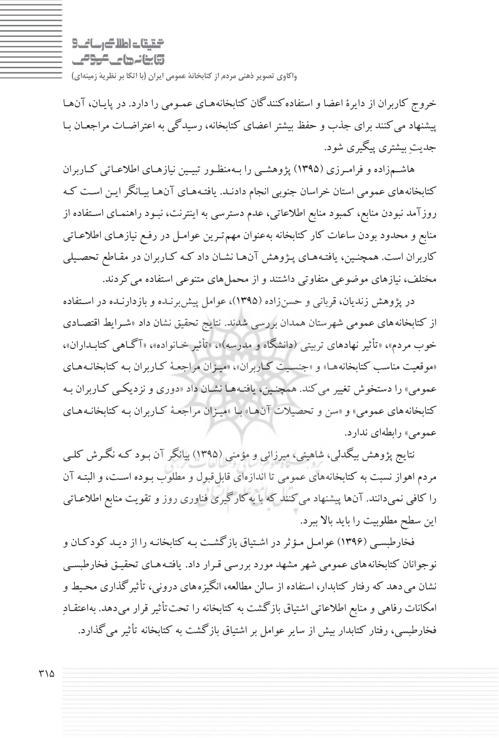$9 - i$  and  $4$  and  $6 - 7$ وابنانها ماكومي

خروج كاربران از دايرة اعضا و استفادهكنندگان كتابخانههـاي عمـومي را دارد. در پايـان، آنهـا پيشنهاد ميكنند براي جذب و حفظ بيشتر اعضاي كتابخانه، رسيدگي به اعتراضـات مراجعـان بـا جديت بيشتري پيگيري شود.

هاشـمزاده و فرامـرزي (1395) پژوهشـي را بـهمنظـور تبيـين نيازهـاي اطلاعـاتي كـاربران كتابخانههاي عمومي استان خراسان جنوبي انجام دادنـد. يافتـه هـاي آنهـا بيـانگرايـن اسـت كـه روزآمد نبودن منابع، كمبود منابع اطلاعاتي، عدم دسترسي به اينترنت، نبـود راهنمـاي اسـتفاده از منابع و محدود بودن ساعات كار كتابخانه بهعنوان مهمتـرين عوامـل در رفـع نيازهـاي اطلاعـاتي كاربران است. همچنـين، يافتـههـاي پـژوهش آنهـا نشـان داد كـه كـاربران در مقـاطع تحصـيلي مختلف، نيازهاي موضوعي متفاوتي داشتند و از محمل هاي متنوعي استفاده مي كردند.

در پژوهش زنديان، قرباني و حسن زاده (١٣٩۵)، عوامل پيشبرنـده و بازدارنـده در اسـتفاده از كتابخانههاي عمومي شهرستان همدان بررسي شدند . نتايج تحقيق نشان داد «شـرايط اقتصـادي خوب مردم »، «تأثيرنهادهاي تربيتي (دانشگاه و مدرسه)»، «تأثير خـانواده »، «آگـاهي كتابـداران »، «موقعيت مناسب كتابخانه هـا » و « جنسـيت كـاربران»، « ميـزان مراجعـة كـاربران بـه كتابخانـه هـاي عمومي » را دستخوش تغيير ميكند. همچنـين، يافتـههـا نشـان داد «دوري و نزديكـي كـاربران بـه كتابخانههاي عمومي» و «سن و تحصيلات آنهـا» بـا «ميـزان مراجعـهٔ كـاربران بـه كتابخانـههـاي عمومي» رابطهاي ندارد.

نتايج پژوهش بيگدلي، شاهيني، ميرزائي و مؤمني (1395) بيانگرآن بـود كـه نگـرش كلـي مردم اهواز نسبت به كتابخانههاي عمومي تا اندازهاي قابلقبول و مطلوب بـوده اسـت، و البتـه آن را كافي نميدانند. آنها پيشنهاد ميكنند كه با بهكارگيري فناوري روز و تقويت منابع اطلاعـاتي اين سطح مطلوبيت را بايد بالا ببرد.

فخارطبسـي ( 1396) عوامـل مـؤثردر اشـتياق بازگشـت بـه كتابخانـه را از ديـد كودكـان و نوجوانان كتابخانههاي عمومي شهرمشهد مورد بررسي قـرار داد . يافتـه هـاي تحقيـق فخارطبسـي نشان ميدهد كه رفتار كتابدار، استفاده از سالن مطالعه، انگيزههاي دروني، تأثيرگذاري محـيط و امكانات رفاهي و منابع اطلاعاتي اشتياق بازگشت به كتابخانه را تحتتأثيرقرار ميدهد. به اعتقـاد فخارطبسي، رفتار كتابدار بيش از ساير عوامل براشتياق بازگشت به كتابخانه تأثير ميگذارد .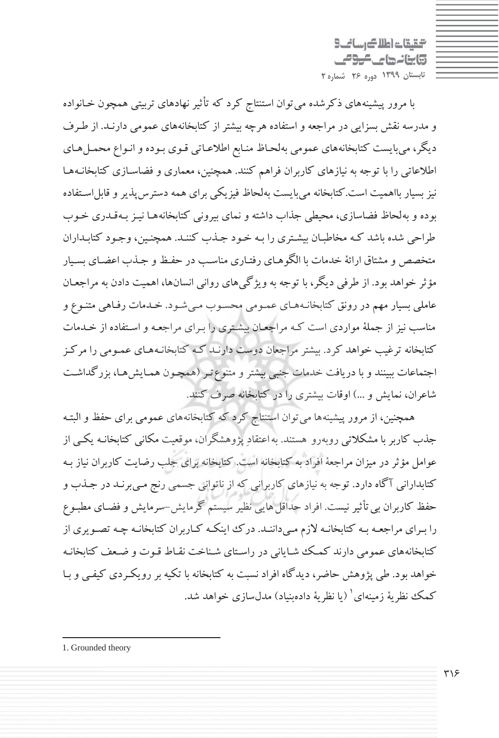شقيقات اطلاك رسائب 5 **تابنانهای موص تابستان 1399 دوره 26 شماره 2**

با مرور پيشينههاي ذكرشده ميتوان استنتاج كرد كه تأثير نهادهاي تربيتي همچون خـانواده و مدرسه نقش بسزايي در مراجعه و استفاده هرچه بيشتر از كتابخانههاي عمومي دارنـد. از طـرف ديگر، ميبايست كتابخانههاي عمومي بهلحـاظ منـابع اطلاعـاتي قـوي بـوده و انـواع محمـل هـاي اطلاعاتي را با توجه به نيازهاي كاربران فراهم كنند. همچنين، معماري و فضاسـازي كتابخانـههـا نيز بسيار بااهميت است.كتابخانه مي بايست بهلحاظ فيزيكي براي همه دسترس يذير و قابل اسـتفاده بوده و بهلحاظ فضاسازي، محيطي جذاب داشته و نماي بيروني كتابخانههـا نيـز بـهقـدري خـوب طراحي شده باشد كـه مخاطبـان بيشـتري را بـه خـود جـذب كننـد. همچنـين، وجـود كتابـداران متخصص و مشتاق ارائة خدمات با الگوهـاي رفتـاري مناسـب در حفـظ و جـذب اعضـاي بسـيار مؤثر خواهد بود. از طرفي ديگر، با توجه به ويژگيهاي رواني انسانها، اهميت دادن به مراجعـان عاملي بسيار مهم در رونق كتابخانـههـاي عمـومي محسـوب مـي شـود. خـدمات رفـاهي متنـوع و مناسب نيز از جملة مواردي است كـه مراجعـان بيشـتري را بـراي مراجعـه و اسـتفاده از خـدمات كتابخانه ترغيب خواهد كرد. بيشتر مراجعان دوست دارنـد كـه كتابخانـههـاي عمـومي را مركـز اجتماعات ببينند و با دريافت خدمات جنبي بيشتر و متنوعتـر (همچـون همـايشهـا، بزرگداشـت شاعران، نمايش و ...) اوقات بيشتري را در كتابخانه صرف كنند.

همچنين، از مرور پيشينهها ميتوان استنتاج كرد كه كتابخانههاي عمومي براي حفظ و البتـه جذب كاربربا مشكلاتي روبهرو هستند. بهاعتقاد پژوهشگران، موقعيت مكاني كتابخانـه يكـي از عوامل مؤثر در ميزان مراجعة افراد به كتابخانه است. كتابخانه براي جلب رضايت كاربران نياز بـه كتابداراني آگاه دارد. توجه به نيازهاي كاربراني كه از ناتواني جسمي رنج مـي برنـد در جـذب و حفظ كاربران بي تأثير نيست. افراد حداقل هايي نظير سيستم گرمايش-سرمايش و فضـاي مطبـوع را بـراي مراجعـه بـه كتابخانـه لازم مـيداننـد. درك اينكـه كـاربران كتابخانـه چـه تصـويري از كتابخانههاي عمومي دارند كمـك شـاياني در راسـتاي شـناخت نقـاط قـوت و ضـعف كتابخانـه خواهد بود. طي پژوهش حاضر، ديدگاه افراد نسبت به كتابخانه با تكيه بر رويكـردي كيفـي و بـا كمك نظرية زمينهاي ( يا نظرية دادهبنياد) مدلسازي خواهد شد.

<sup>1.</sup> Grounded theory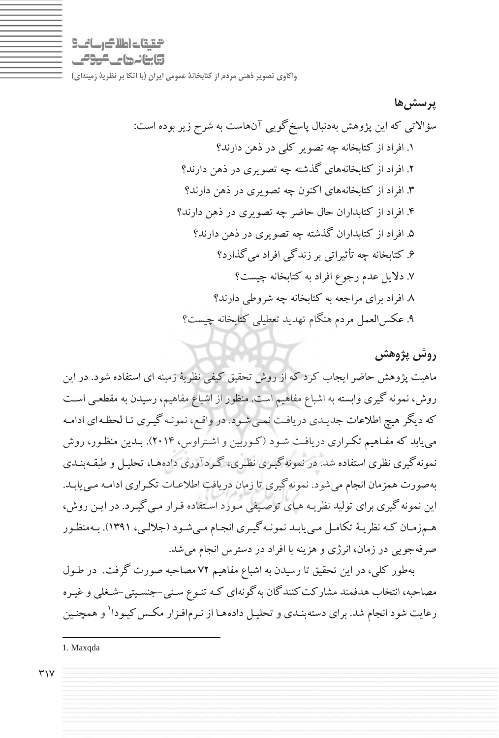التقاعات اطلاك رساني وابنانها ماكومي

**پرسشها** سؤالاتي كه اين پژوهش بهدنبال پاسخگويي آنهاست به شرح زير بوده است: .1 افراد از كتابخانه چه تصو ري كلي در ذهن دارند؟ .2 افراد از كتابخانههاي گذشته چه تصو يري در ذهن دارند؟ .3 افراد از كتابخانههاي اكنون چه تصو يري در ذهن دارند؟ .4 افراد از كتابداران حال حاضر چه تصو يري در ذهن دارند؟ .5 افراد از كتابداران گذشته چه تصو يري در ذهن دارند؟ .6 كتابخانه چه يثأت راتي برزندگي افراد يم گذارد؟ .7 دلا لي عدم رجوع افراد به كتابخانه يچ ست؟ .8 افراد براي مراجعه به كتابخانه چه شروطي دارند؟ .9 عكسالعمل مردم هنگام تهد دي تعط يلي كتابخانه يچ ست؟

### **روش پژوهش**

ماهيت پژوهش حاضرايجاب كرد كه از روش تحقيق كيفي نظرية زمينه اي استفاده شود. در اين روش، نمونه گيري وابسته به اشباع مفاهيم است. منظور از اشباع مفاهيم، رسيدن به مقطعـي اسـت كه ديگر هيچ اطلاعات جديـدي دريافـت نمـي شـود. در واقـع، نمونـه گيـري تـا لحظـهاي ادامـه مييابد كه مفـاهيم تكـراري دريافـت شـود (كـوربين و اشـتراوس، 2014). بـدين منظـور، روش نمونهگيري نظري استفاده شد. در نمونهگيـري نظـري، گـردآوري دادههـا، تحليـل و طبقـهبنـدي بهصورت همزمان انجام ميشود. نمونهگيري تا زمان دريافت اطلاعـات تكـراري ادامـه مـي يابـد. اين نمونهگيري براي توليد نظريـه هـاي توصـيفي مـورد اسـتفاده قـرار مـي گيـرد. در ايـن روش، هـمزمـان كـه نظريـة تكامـل مـييابـد نمونـهگيـري انجـام مـيشـود (جلالـي، 1391). بـهمنظـور صرفهجويي در زمان، انرژي و هزينه با افراد در دسترس انجام مي شد.

بهطور كلي، در اين تحقيق تا رسيدن به اشباع مفاهيم 72 مصاحبه صورت گرفت. در طـول مصاحبه، انتخاب هدفمند مشاركت كنندگان بهگونهاي كـه تنـوع سـني-جنسـيتي-شـغلي و غيـره رعايت شود انجام شد. براي دسته بنـدي و تحليـل دادههـا از نـرمافـزار مكـس كيـودا<sup>\</sup> و همچنـين

<sup>1.</sup> Maxqda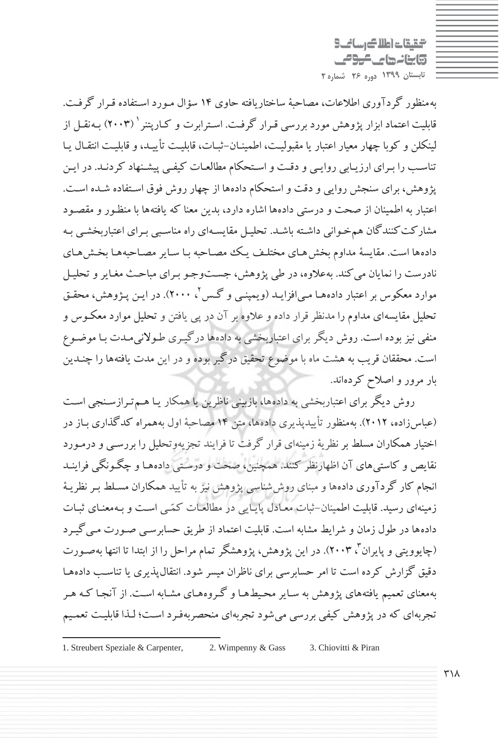شقيقات اطلاك رسائب 5 وابنانها كالمومى **تابستان 1399 دوره 26 شماره 2**

بهمنظور گردآوري اطلاعات، مصاحبة ساختاريافته حاوي 14 سؤال مـورد اسـتفاده قـرار گرفـت. قابليت اعتماد ابزار يژوهش مورد بررسي قـرار گرفـت. اسـترابرت و كـاريتنر <sup>(</sup> (۲۰۰۳) بـهنقـل از لينكلن و كوبا چهار معيار اعتبار يا مقبوليـت، اطمينـان-ثبـات، قابليـت تأييـد، و قابليـت انتقـال يـا تناسـب را بـراي ارزيـابي روايـي و دقـت واسـتحكام مطالعـات كيفـي پيشـنهاد كردنـد. در ايـن پژوهش، براي سنجش روايي و دقت و استحكام دادهها از چهار روش فوق اسـتفاده شـده اسـت. اعتبار به اطمينان از صحت و درستي دادهها اشاره دارد، بدين معنا كه يافتهها با منظـور و مقصـود مشاركت كنندگان همخـواني داشـته باشـد. تحليـل مقايسـهاي راه مناسـبي بـراي اعتباربخشـي بـه دادهها است. مقايسة مداوم بخشهـاي مختلـف يـك مصـاحبه بـا سـاير مصـاحبه هـا بخـشهـاي نادرست را نمايان ميكند. بهعلاوه، در طي پژوهش، جسـتوجـو بـراي مباحـث مغـايرو تحليـل موارد معكوس بر اعتبار دادههـا مـي|فزايـد (ويمپنـي و گـس <sup>۲</sup>، ۲۰۰۰). در ايـن پـژوهش، محقـق تحليل مقايسهاي مداوم را مدنظر قرار داده و علاوه برآن در پي يافتن و تحليل موارد معكـوس و منفي نيز بوده است. روش ديگر براي اعتباربخشي به دادهها درگيـري طـولانيمـدت بـا موضـوع است. محققان قريب به هشت ماه با موضوع تحقيق درگير بوده و در اين مدت يافتهها را چنـدين بار مرور و اصلاح كردهاند.

روش ديگر براي اعتباربخشي به دادهها، بازبيني ناظرين يا همكار يـا هـم تـرازسـنجي اسـت (عباسزاده، 2012). بهمنظور تأييدپذيري داده ها، متن 14 مصاحبة اول بههمراه كدگذاري بـاز در اختيار همكاران مسلط برنظرية زمينهاي قرار گرفت تا فرايند تجزيهوتحليل را بررسـي و درمـورد نقايص و كاستيهاي آن اظهارنظر كنند. همچنين، صحت و درسـتي دادههـا و چگـونگي فراينـد انجام كار گردآوري دادهها و مبناي روششناسي پژوهش نيز به تأييد همكاران مسـلط بـر نظريـة زمينهاي رسيد. قابليت اطمينان-ثبات معـادل پايـايي در مطالعـات كمـي اسـت و بـه معنـاي ثبـات دادهها در طول زمان و شرايط مشابه است. قابليت اعتماد از طريق حسابرسـي صـورت مـيگيـرد (چايوويتي و پايران"، ۲۰۰۳). در اين پژوهش، پژوهشگر تمام مراحل را از ابتدا تا انتها بهصـورت دقيق گزارش كرده است تا امر حسابرسي براي ناظران ميسر شود. انتقالپذيري يا تناسـب دادههـا بهمعناي تعميم يافتههاي پژوهش به سـايرمحـيطهـا و گـروههـاي مشـابه اسـت. از آنجـا كـه هـر تجربهاي كه در پژوهش كيفي بررسي ميشود تجربهاي منحصربهفـرد اسـت؛ لـذا قابليـت تعمـيم

<sup>1.</sup> Streubert Speziale & Carpenter, 2. Wimpenny & Gass 3. Chiovitti & Piran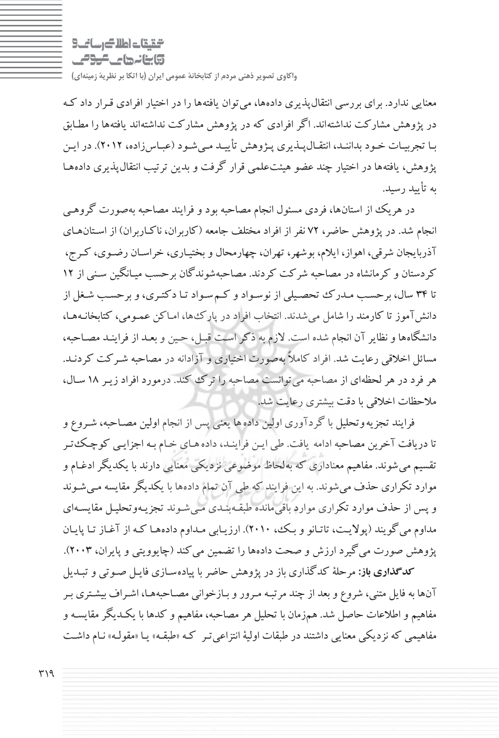$9 - i$  and  $4$  and  $6 - 7$ وابنانها ماكومي

معنايي ندارد. براي بررسي انتقالپذيري دادهها، ميتوان يافتهها را در اختيار افرادي قـرار داد كـه در پژوهش مشاركت نداشتهاند. اگر افرادي كه در پژوهش مشاركت نداشتهاند يافته ها را مطـابق بـا تجربيـات خـود بداننـد، انتقـالپـذيري پـژوهش تأييـد مـيشـود ( عبـاسزاده، 2012). در ايـن پژوهش، يافتهها در اختيار چند عضو هيئتعلمي قرار گرفت و بدين ترتيب انتقالپذيري دادههـا به تأييد رسيد.

در هريك از استانها، فردي مسئول انجام مصاحبه بود و فرايند مصاحبه بهصورت گروهـي انجام شد. در پژوهش حاضر، 72 نفراز افراد مختلف جامعه (كاربران، ناكـاربران) از اسـتانهـاي آذربايجان شرقي، اهواز، ايلام، بوشهر، تهران، چهارمحال و بختيـاري، خراسـان رضـوي، كـرج، كردستان و كرمانشاه در مصاحبه شركت كردند. مصاحبهشوندگان برحسب ميـانگين سـني از 12 تا 34 سال، برحسـب مـدرك تحصـيلي از نوسـواد و كـم سـواد تـا دكتـري، و برحسـب شـغل از دانشآموز تا كارمند را شامل ميشدند. انتخاب افراد در پاركها، امـاكن عمـومي، كتابخانـههـا، دانشگاهها و نظايرآن انجام شده است. لازم به ذكر اسـت قبـل، حـين و بعـد از فراينـد مصـاحبه، مسائل اخلاقي رعايت شد. افراد كاملاً بهصورت اختياري و آزادانه در مصاحبه شـركت كردنـد. هر فرد در هر لحظهاي از مصاحبه ميتوانست مصاحبه را ترك كند. درمورد افراد زيـر 18 سـال، ملاحظات اخلاقي با دقت بيشتري رعايت شد.

فرايند تجزيهوتحليل با گردآوري اولين دادهها يعني پس از انجام اولين مصـاحبه، شـروع و تا دريافت آخرين مصاحبه ادامه يافت. طي ايـن فراينـد، داده هـاي خـام بـه اجزايـي كوچـكتـر تقسيم ميشوند. مفاهيم معناداري كه بهلحاظ موضوعي نزديكي معنايي دارند با يكديگر ادغـام و موارد تكراري حذف ميشوند. به اين فرايند كه طي آن تمام دادهها با يكديگرمقايسه مـي شـوند و پس از حذف موارد تكراري موارد باقيمانده طبقـه بنـدي مـي شـوند تجزيـه وتحليـل مقايسـهاي مداوم مي گويند (پولايـت، تاتـانو و بـك، 2010). ارزيـابي مـداوم داده هـا كـه از آغـاز تـا پايـان پژوهش صورت ميگيرد ارزش و صحت دادهها را تضمين ميكند (چايوويتي و پايران، 2003).

**كدگذاري باز:** مرحلة كدگذاري باز در پژوهش حاضربا پياده سـازي فايـل صـوتي و تبـديل آنها به فايل متني، شروع وبعد از چند مرتبـه مـرور و بـازخواني مصـاحبههـا، اشـراف بيشـتري بـر مفاهيم و اطلاعات حاصل شد. همزمان با تحليل هرمصاحبه، مفاهيم و كدها با يكـديگر مقايسـه و مفاهيمي كه نزديكي معنايي داشتند در طبقات اولية انتزاعيتـر كـه « طبقـه » يـا « مقولـه » نـام داشـت

 $419$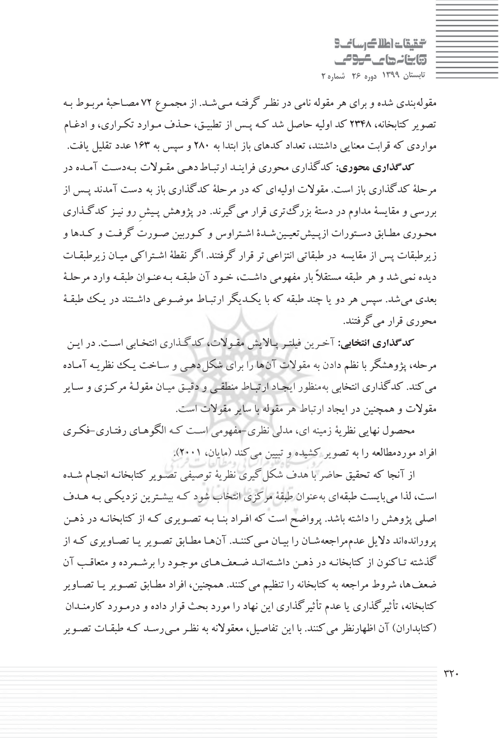التقيقات اطلاك رساني وابنانها كالموامي **تابستان 1399 دوره 26 شماره 2**

مقولهبندي شده وبراي هرمقوله نامي در نظـر گرفتـه مـي شـد. از مجمـوع 72 مصـاحبة مربـوط بـه تصوير كتابخانه، 2348 كد اوليه حاصل شد كـه پـس از تطبيـق، حـذف مـوارد تكـراري، و ادغـام مواردي كه قرابت معنايي داشتند، تعداد كدهاي باز ابتدا به 280 و سپس به 163 عدد تقليل يافت .

**كدگذاري : محوري** كدگذاري محوري فراينـد ارتبـاط دهـي مقـولات بـهدسـت آمـده در مرحلة كدگذاري باز است. مقولات اوليهاي كه در مرحلة كدگذاري باز به دست آمدند پـس از بررسي و مقايسة مداوم در دستة بزرگتري قرار ميگيرند . در پژوهش پـيشِ رو نيـز كدگـذاري محـوري مطـابق دسـتورات ازپـيشتعيـينشـدة اشـتراوس و كـوربين صـورت گرفـت و كـدها و زيرطبقات پس از مقايسه در طبقاتي انتزاعي تر قرار گرفتند. اگر نقطهٔ اشـتراكي ميـان زيرطبقـات ديده نميشد و هر طبقه مستقلاً بار مفهومي داشـت، خـود آن طبقـه بـه عنـوان طبقـهوارد مرحلـة بعدي ميشد . سپس هر دو يا چند طبقه كه با يكـديگر ارتبـاط موضـوعي داشـتند در يـك طبقـة محوري قرار ميگرفتند.

**كدگذاري : انتخابي** آخـرين فيلتـر پـالايش مقـولات، كدگـذاري انتخـابي اسـت. در ايـن مرحله، پژوهشگربا نظم دادن به مقولات آنها را براي شكل دهـي و سـاخت يـك نظريـه آمـاده ميكند. كدگذاري انتخابي بهمنظور ايجـاد ارتبـاط منطقـي و دقيـق ميـان مقولـة مركـزي و سـاير مقولات و همچنين در ايجاد ارتباط هر مقوله با ساير مقولات است .

محصول نهايي نظرية زمينه اي، مدلي نظري-مفهومي اسـت كـه الگوهـاي رفتـاري -فكـري افراد موردمطالعه را به تصوير كشيده و تبيين ميكند (مايان، 2001).

از آنجا كه تحقيق حاضر با هدف شكل گيري نظرية توصيفي تصـوير كتابخانـه انجـام شـده است، لذا ميبايست طبقهاي بهعنوان طبقة مركزي انتخاب شود كـه بيشـترين نزديكـي بـه هـدف اصلي پژوهش را داشته باشد. پرواضح است كه افـراد بنـا بـه تصـويري كـه از كتابخانـه در ذهـن پروراندهاند دلايل عدممراجعه شـان را بيـان مـي كننـد. آن هـا مطـابق تصـوير يـا تصـاويري كـه از گذشته تـاكنون از كتابخانـه در ذهـن داشـته انـد ضـعف هـاي موجـود را برشـمرده و متعاقـب آن ضعفها، شروط مراجعه به كتابخانه را تنظيم ميكنند. همچنين، افراد مطـابق تصـوير يـا تصـاوير كتابخانه، تأثيرگذاري يا عدم تأثيرگذاري اين نهاد را مورد بحث قرار داده و درمـورد كارمنـدان (كتابداران) آن اظهارنظر مي كنند. با اين تفاصيل، معقولانه به نظـر مـي رسـد كـه طبقـات تصـوير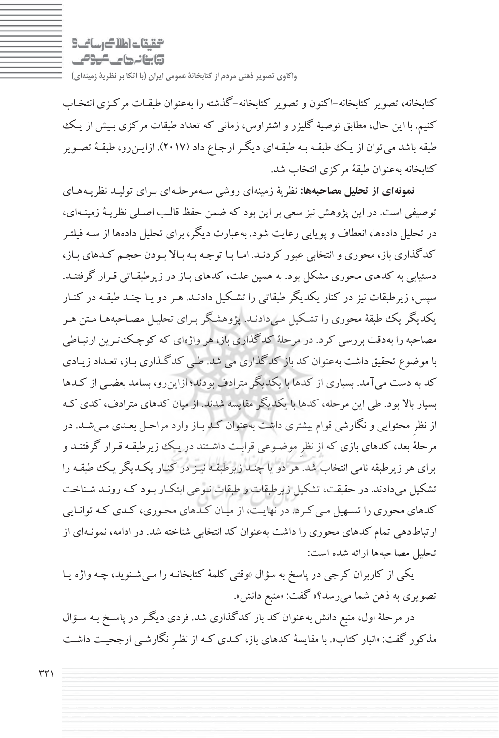$9 - i$  and  $4$  and  $6 - 7$ وابنانها ماكومي

كتابخانه، تصوير كتابخانه-اكنون وتصوير كتابخانه-گذشته را بهعنوان طبقـات مركـزي انتخـاب كنيم. با اين حال، مطابق توصيهٔ گليزر و اشتراوس، زماني كه تعداد طبقات مركزي بـيش از يـك طبقه باشد ميتوان از يـك طبقـه بـه طبقـهاي ديگـر ارجـاع داد (2017). ازايـنرو، طبقـة تصـوير كتابخانه بهعنوان طبقة مركزي انتخاب شد.

**نمونهاي از تحليل مصاحبهها:** نظرية زمينه اي روشي سـهمرحلـهاي بـراي توليـد نظريـههـاي توصيفي است. در اين پژوهش نيز سعي براين بود كه ضمن حفظ قالـب اصـلي نظريـة زمينـه اي، در تحليل دادهها، انعطاف و پويايي رعايت شود. بهعبارت ديگر، براي تحليل دادهها از سـه فيلتـر كدگذاري باز، محوري و انتخابي عبور كردنـد. امـا بـا توجـه بـه بـالا بـودن حجـم كـدهاي بـاز، دستيابي به كدهاي محوري مشكل بود. به همين علت، كدهاي بـاز در زيرطبقـاتي قـرار گرفتنـد. سپس، زيرطبقات نيز در كنار يكديگر طبقاتي را تشـكيل دادنـد. هـر دو يـا چنـد طبقـه در كنـار يكديگر يك طبقة محوري را تشـكيل مـيدادنـد. پژوهشـگر بـراي تحليـل مصـاحبه هـا مـتن هـر مصاحبه را بهدقت بررسي كرد. در مرحلة كدگذاري باز، هرواژه اي كه كوچـكتـرين ارتبـاطي با موضوع تحقيق داشت بهعنوان كد باز كدگذاري مي شد. طـي كدگـذاري بـاز، تعـداد زيـادي كد به دست ميآمد. بسياري از كدها با يكديگرمترادف بودند؛ ازاينرو، بسامد بعضـي از كـدها بسيار بالا بود. طي اين مرحله، كدها با يكديگرمقايسه شدند. از ميان كدهاي مترادف، كدي كـه از نظرِ محتوايي و نگارشي قوام بيشتري داشت بهعنوان كـد بـاز وارد مراحـل بعـدي مـي شـد. در مرحلة بعد، كدهاي بازي كه از نظرِ موضـوعي قرابـت داشـتند در يـك زيرطبقـه قـرار گرفتنـد و براي هر زيرطبقه نامي انتخاب شد. هر دو يا چنـد زيرطبقـه نيـز در كنـار يكـديگر يـك طبقـه را تشكيل ميدادند. در حقيقت، تشكيل زيرطبقات و طبقات نـوعي ابتكـار بـود كـه رونـد شـناخت كدهاي محوري را تسـهيل مـي كـرد. در نهايـت، از ميـان كـدهاي محـوري، كـدي كـه توانـايي ارتباطدهي تمام كدهاي محوري را داشت بهعنوان كد انتخابي شناخته شد. در ادامه، نمونـهاي از تحليل مصاحبهها ارائه شده است:

يكي از كاربران كرجي در پاسخ به سؤال «وقتي كلمة كتابخانـه را مـيشـنويد، چـه واژه يـا تصويري به ذهن شما ميرسد؟» گفت: «منبع دانش».

در مرحلة اول، منبع دانش بهعنوان كد باز كدگذاري شد. فردي ديگـر در پاسـخ بـه سـؤال مذكور گفت: «انبار كتاب». با مقايسة كدهاي باز، كـدي كـه از نظـرِ نگارشـي ارجحيـت داشـت

 $\uparrow\uparrow\uparrow$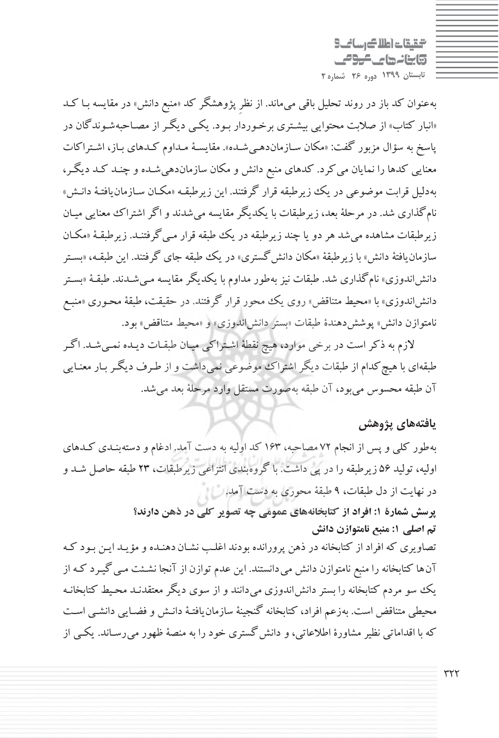شقيقات اطلاك رسائب 5 وابنانها كالموامي **تابستان 1399 دوره 26 شماره 2**

بهعنوان كد باز در روند تحليل باقي ميماند. از نظرِ پژوهشگر كد «منبع دانش» در مقايسه بـا كـد «انبار كتاب» از صلابت محتوايي بيشـتري برخـوردار بـود. يكـي ديگـر از مصـاحبه شـوندگان در پاسخ به سؤال مزبور گفت: «مكان سـازماندهـي شـده». مقايسـة مـداوم كـدهاي بـاز، اشـتراكات معنايي كدها را نمايان ميكرد. كدهاي منبع دانش و مكان سازماندهيشـده و چنـد كـد ديگـر، بهدليل قرابت موضوعي در يك زيرطبقه قرار گرفتند. اين زيرطبقـه «مكـان سـازمانيافتـة دانـش» نامگذاري شد. در مرحلة بعد، زيرطبقات با يكديگرمقايسه ميشدند و اگر اشتراك معنايي ميـان زيرطبقات مشاهده ميشد هردويا چند زيرطبقه در يك طبقه قرار مـيگرفتنـد. زيرطبقـة «مكـان سازمان يافتهٔ دانش» با زيرطبقهٔ «مكان دانش گستري» در يك طبقه جاي گرفتند. اين طبقـه، «بسـتر دانشاندوزي» نامگذاري شد. طبقات نيز بهطور مداوم با يكديگرمقايسه مـيشـدند. طبقـة «بسـتر دانشاندوزي» با «محيط متناقض» روي يك محور قرار گرفتند. در حقيقت، طبقة محـوري «منبـع نامتوازن دانش» پوششدهندة طبقات «بستر دانشاندوزي» و «محيط متناقض» بود.

لازم به ذكر است در برخي موارد، هيچ نقطة اشـتراكي ميـان طبقـات ديـده نمـي شـد. اگـر طبقهاي با هيچكدام از طبقات ديگراشتراك موضوعي نميداشت و از طـرف ديگـربـار معنـا يي آن طبقه محسوس ميبود، آن طبقه بهصورت مستقل وارد مرحلة بعد . ميشد

**يافتههاي پژوهش**

بهطور كلي و پس از انجام 72 مصاحبه، 163 كد اوليه به دست آمد. ادغام و دسته بنـدي كـدهاي اوليه، توليد 56 زيرطبقه را در پي داشت. با گروهبندي انتزاعي زيرطبقات، 23 طبقه حاصل شـد و در نهايت از دل طبقات، 9 طبقة محوري به دست آمد .

> **پرسش شمارة : 1 افراد از كتابخانههاي عمومي چه تصوير كلي در ذهن دارند؟ تم اصلي :1 منبع نامتوازن دانش**

تصاويري كه افراد از كتابخانه در ذهن پرورانده بودند اغلـب نشـان دهنـده و مؤيـد ايـن بـود كـه آنها كتابخانه را منبع نامتوازن دانش ميدانستند. اين عدم توازن از آنجا نشـئت مـي گيـرد كـه از يك سو مردم كتابخانه را بستر دانش|ندوزي ميدانند و از سوي ديگر معتقدنـد محـيط كتابخانـه محيطي متناقض است. بهزعم افراد، كتابخانه گنجينة سازمان يافتـة دانـش و فضـايي دانشـي اسـت كه با اقداماتي نظير مشاورهٔ اطلاعاتي، و دانش گستري خود را به منصهٔ ظهور مي رسـاند. يكـي از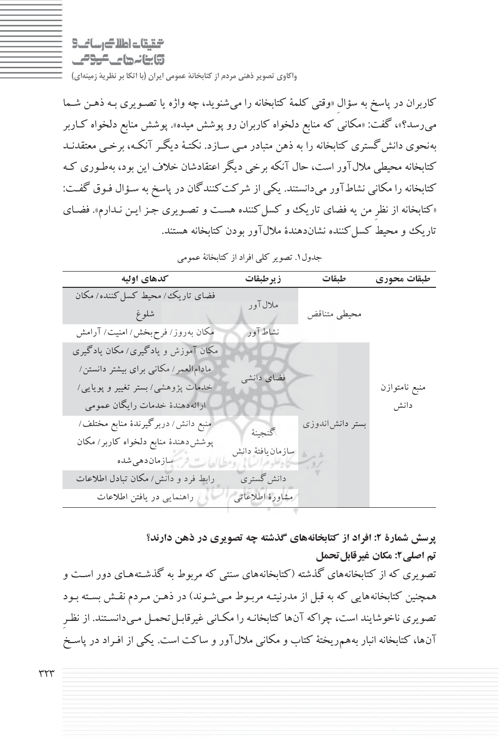$9 - i$  and  $4$  and  $6 - 7$ وابنانها ماكومي

**واكاوي تصوير ذهني مردم از كتابخانة عمومي ايران (با اتكا بر نظرية زمينهاي )**

كاربران در پاسخ به سؤالِ «وقتي كلمة كتابخانه را ميشنويد، چه واژه يا تصـويري بـه ذهـن شـما ميرسد؟»، گفت: «مكاني كه منابع دلخواه كاربران رو پوشش ميده». پوشش منابع دلخواه كـاربر بهنحوي دانشگستري كتابخانه را به ذهن متبادر مـي سـازد. نكتـة ديگـر آنكـه، برخـي معتقدنـد كتابخانه محيطي ملالآور است، حال آنكه برخي ديگراعتقادشان خلاف اين بود، بهطـوري كـه كتابخانه را مكاني نشاطآور ميدانستند. يكي از شركت كنندگان در پاسخ به سـؤال فـوق گفـت: «كتابخانه از نظرِ من يه فضاي تاريك و كسل كننده هست و تصـويري جـز ايـن نـدارم». فضـاي تاريك و محيط كسل كننده نشاندهندة ملال آور بودن كتابخانه هستند.

| كدهاي اوليه                                                                                                                                      | زيرطبقات                                   | طبقات           | طبقات محوري           |
|--------------------------------------------------------------------------------------------------------------------------------------------------|--------------------------------------------|-----------------|-----------------------|
| فضای تاریک ⁄ محیط کسل کننده/ مکان<br>شلوغ                                                                                                        | ملال آور                                   | محيطي متناقض    |                       |
| مکان به روز/ فرح بخش/ امنیت/ آرامش                                                                                                               | نشاط آور                                   |                 |                       |
| مکان آموزش و یادگیری/ مکان یادگیری<br>مادامالعمر/ مکانی برای بیشتر دانستن/<br>خدمات پژوهشی/بستر تغییر و پویایی/<br>ارائهدهندة خدمات رايگان عمومي | فضای دانشی                                 |                 | منبع نامتوازن<br>دانش |
| منبع دانش/ دربرگیرندهٔ منابع مختلف/<br>پوشش دهندهٔ منابع دلخواه کاربر/ مکان<br>رابط فرد و دانش/ مکان تبادل اطلاعات                               | كنجينة<br>سازمان يافتهٔ دانش<br>دانش گستري | بستر دانشlندوزی |                       |
| راهنمایی در یافتن اطلاعات                                                                                                                        | مشاورة اطلاعاتي                            |                 |                       |

جدول.1 تصو ري كلي افراد از كتابخانة عمومي

**پرسش شمارة : 2 افراد از كتابخانههاي گذشته چه تصويري در ذهن دارند؟ تم اصلي:2 مكان غيرقابلتحمل**

تصويري كه از كتابخانههاي گذشته (كتابخانههاي سنتي كه مربوط به گذشـتههـاي دور اسـت و همچنين كتابخانههايي كه به قبل از مدرنيتـه مربـوط مـي شـوند) در ذهـن مـردم نقـش بسـته بـود تصويري ناخوشايند است، چراكه آنها كتابخانـه را مكـاني غيرقابـل تحمـل مـي دانسـتند. از نظـرِ آنها، كتابخانه انبار بههمريختة كتاب ومكاني ملالآور و ساكت است . يكي از افـراد در پاسـخ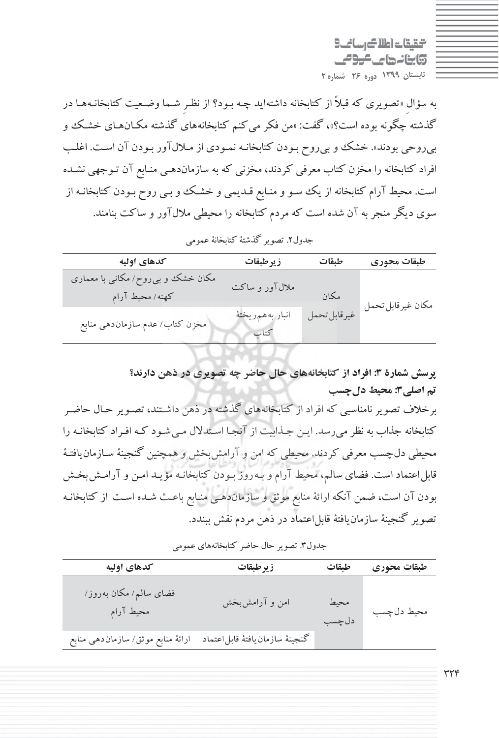گینگات اطلاک رسائے 9 وابنانها كالموامي **تابستان 1399 دوره 26 شماره 2**

به سؤالِ «تصويري كه قبلاً از كتابخانه داشتهايد چـه بـود؟ از نظـرِ شـما وضـعيت كتابخانـه هـا در گذشته چگونه بوده است؟»، گفت: «من فكر مي كنم كتابخانههاي گذشته مكـانهـاي خشـك و بيروحي بودند». خشك و بيروح بـودن كتابخانـه نمـودي از مـلال آور بـودن آن اسـت. اغلـب افراد كتابخانه را مخزن كتاب معرفي كردند، مخزني كه به سازماندهـي منـابع آن تـوجهي نشـده است. محيط آرام كتابخانه از يك سـو و منـابع قـديمي و خشـك و بـي روح بـودن كتابخانـه از سوي ديگر منجر به آن شده است كه مردم كتابخانه را محيطي ملالآور و ساكت بنامند.

| كدهاى اوليه                                          | زيرطبقات                | طيقات        | طبقات محوري       |
|------------------------------------------------------|-------------------------|--------------|-------------------|
| مکان خشک و بی روح/مکانی با معماری<br>كهنه/ محيط آرام | ملالآور و ساکت          | مكان         |                   |
| مخزن كتاب/ عدم سازماندهي منابع                       | انبار بههمريخته<br>كتاب | غيرقابل تحمل | مكان غيرقابل تحمل |

جدول.2 تصو ري گذشتة كتابخانة عمومي

**پرسش شمارة : 3 افراد از كتابخانههاي حال حاضر چه تصويري در ذهن دارند؟ تم اصلي3 : محيط دلچسب** برخلاف تصويرنامناسبي كه افراد از كتابخانههاي گذشته در ذهن داشـتند، تصـوير حـال حاضـر كتابخانه جذاب به نظرميرسد. ايـن جـذابيت از آنجـا اسـتدلال مـي شـود كـه افـراد كتابخانـه را محيطي دلچسب معرفي كردند. محيطي كه امن و آرامشبخش و همچنين گنجينة سـازمان يافتـة قابلاعتماد است. فضاي سالم، محيط آرام و بـهروز بـودن كتابخانـه مؤيـد امـن و آرامـش بخـش بودن آن است، ضمن آنكه ارائة منابع موثق و سازماندهـي منـابع باعـث شـده اسـت از كتابخانـه تصوير گنجينهٔ سازمان يافتهٔ قابل|عتماد در ذهن مردم نقش ببندد.

| كدهاى اوليه                        | زيرطبقات                        | طبقات          | طبقات محوري |
|------------------------------------|---------------------------------|----------------|-------------|
| فضای سالم/مکان بهروز/<br>محيط آرام | امن و آرامش بخش                 | محيط<br>دل چسب | محيط دل چسب |
| ارائهٔ منابع موثق/ سازماندهی منابع | كنجينة سازمان يافتة قابل اعتماد |                |             |

جدول.3 تصو ري حال حاضر كتابخانههاي عمومي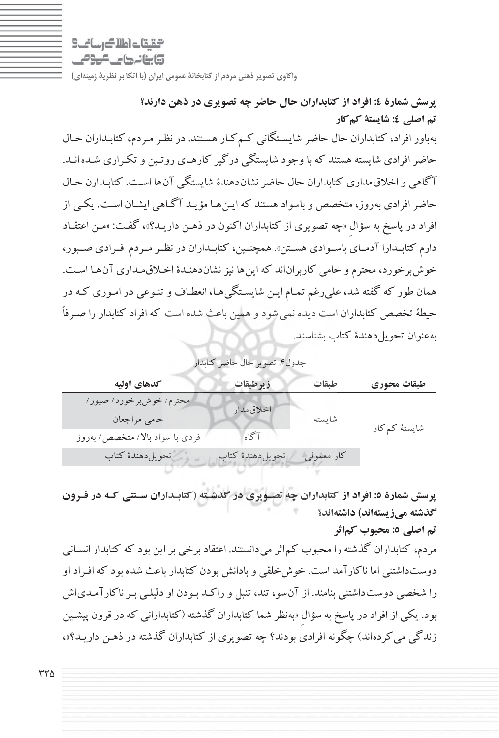التالي اطلاك اساني

وابنانها عاكومي

**واكاوي تصوير ذهني مردم از كتابخانة عمومي ايران (با اتكا بر نظرية زمينهاي )**

**پرسش شمارة : 4 افراد از كتابداران حال حاضر چه تصويري در ذهن دارند؟ تم اصلي 4 : شايستة كمكار** بهباور افراد، كتابداران حال حاضر شايسـتگاني كـمكـار هسـتند. در نظـر مـردم، كتابـداران حـال حاضرافرادي شايسته هستند كه با وجود شايستگي درگير كارهـاي روتـين و تكـراري شـده انـد . آگاهي و اخلاقمداري كتابداران حال حاضرنشاندهندة شايستگي آنها اسـت. كتابـدارن حـال حاضرافرادي بهروز، متخصص و باسواد هستند كه ايـن هـا مؤيـد آگـاهي ايشـان اسـت . يكـي از افراد در پاسخ به سؤالِ «چه تصويري از كتابداران اكنون در ذهـن داريـد؟»، گفـت: «مـن اعتقـاد دارم كتابــدارا آدمــاي باســوادي هســتن». همچنــين، كتابــداران در نظــرمــردم افــرادي صــبور، خوش برخورد، محترم و حامي كاربراناند كه اين ها نيز نشان دهنـدۀ اخـلاق مـداري آن هـا اسـت. همان طور كه گفته شد، عليرغم تمـام ايـن شايسـتگي هـا، انعطـاف و تنـوعي در امـوري كـه در حيطة تخصص كتابداران است ديده نميشود وهمين باعث شده است كه افراد كتابدار را صـرفاً بهعنوان تحويلدهندة كتاب بشناسند .

|  |  | جدول۴. تصوير حال حاضر كتابدار |
|--|--|-------------------------------|
|--|--|-------------------------------|

| كدهاى اوليه                     | زيرطبقات         | طبقات      | طبقات محوري   |
|---------------------------------|------------------|------------|---------------|
| امحترم/ خوش برخورد/ صبور/       | اخلاق مدار       |            |               |
| حامى مراجعان                    |                  | شايسته     | شایستهٔ کمکار |
| فردی با سواد بالا/ متخصص/ بهروز | آگاه             |            |               |
| تحويل دهندة كتاب                | تحويل دهندة كتاب | كار معمولي |               |
|                                 |                  |            |               |

**پرسش شمارة : 5 افراد از كتابداران چه تصـويري در گذشـته (كتابـداران سـنتي كـه در قـرون گذشته مي ) زيستهاند داشتهاند؟**

**تم اصلي 5 : محبوب كماثر**

مردم، كتابداران گذشته را محبوب كماثرميدانستند. اعتقاد برخي براين بود كه كتابدار انسـاني دوستداشتني اما ناكارآمد است. خوشخلقي و بادانش بودن كتابدار باعث شده بود كه افـراد او را شخصي دوستداشتني بنامند. از نآ سو، تند، تنبل و راكـد بـودن او دليلـي بـر ناكارآمـدياش بود. يكي از افراد در پاسخ به سؤالِ «بهنظر شما كتابداران گذشته (كتابداراني كه در قرون پيشـين زندگي ميكردهاند) چگونه افرادي بودند؟ چه تصويري از كتابداران گذشته در ذهـن داريـد؟ »،

325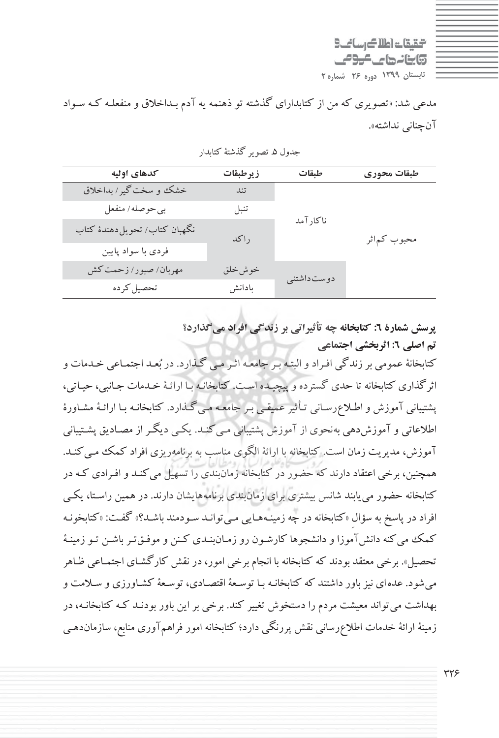گینگات اطلاک رسائے 9 وابنانها كالموامي **تابستان 1399 دوره 26 شماره 2**

مدعي شد: «تصويري كه من از كتابداراي گذشته تو ذهنمه يه آدم بـداخلاق و منفعلـه كـه سـواد آنچناني نداشته».

| كدهاى اوليه                  | زيرطبقات | طيقات        | طبقات محوري  |
|------------------------------|----------|--------------|--------------|
| خشک و سخت گیر/ بداخلاق       | تند      |              |              |
| بي حوصله / منفعل             | تنبل     |              |              |
| نگهبان كتاب/تحويلدهندهٔ كتاب | راكد     | ناكارآمد     | محبوب كمءاثر |
| فردی با سواد پایین           |          |              |              |
| مهربان/صبور/ زحمت كش         | خوش خلق  | دوست داشتنبي |              |
| تحصيل كرده                   | بادانش   |              |              |

جدول ۵. تصوير گذشتهٔ كتابدار

**پرسش شمارة : 6 كتابخانه چه تأثيراتي بر زندگي افراد ميگذارد؟ تم اصلي :6 اثربخشي اجتماعي**

كتابخانة عمومي برزندگي افـراد و البتـه بـر جامعـه اثـر مـي گـذارد. در بعـد اجتمـاعي خـدمات و اثرگذاري كتابخانه تا حدي گسترده و پيچيـده اسـت. كتابخانـه بـا ارائـة خـدمات جـانبي، حيـاتي، پشتيباني آموزش و اطـلاع رسـاني تـأثير عميقـي بـر جامعـه مـي گـذارد . كتابخانـه بـا ارائـة مشـاورة اطلاعاتي و آموزش دهي بهنحوي از آموزش پشتيباني مـي كنـد. يكـي ديگـر از مصـاديق پشـتيباني آموزش، مديريت زمان است. كتابخانه با ارائة الگوي مناسب به برنامهريزي افراد كمك مـيكنـد. همچنين، برخي اعتقاد دارند كه حضور در كتابخانه زمانبندي را تسهيل ميكنـد و افـرادي كـه در كتابخانه حضور مييابند شانس بيشتري براي زمانبندي برنامههايشان دارند. در همين راسـتا، يكـي افراد در پاسخ به سؤالِ «كتابخانه در چه زمينـههـايي مـيتوانـد سـودمند باشـد؟» گفـت: «كتابخونـه كمك ميكنه دانشآموزا و دانشجوها كارشـون رو زمـانبنـدي كـنن و موفـقتـرباشـن تـو زمينـة تحصيل». برخي معتقد بودند كه كتابخانه با انجام برخي امور، در نقش كارگشـاي اجتمـاعي ظـاهر ميشود. عدهاي نيزباور داشتند كه كتابخانـه بـا توسـعة اقتصـادي، توسـعة كشـاورزي و سـلامت و بهداشت ميتواند معيشت مردم را دستخوش تغيير كند. برخي بر اين باور بودنـد كـه كتابخانـه، در زمينة ارائة خدمات اطلاعرساني نقش پررنگي دارد؛ كتابخانه امور فراهمآوري منابع، سازماندهـي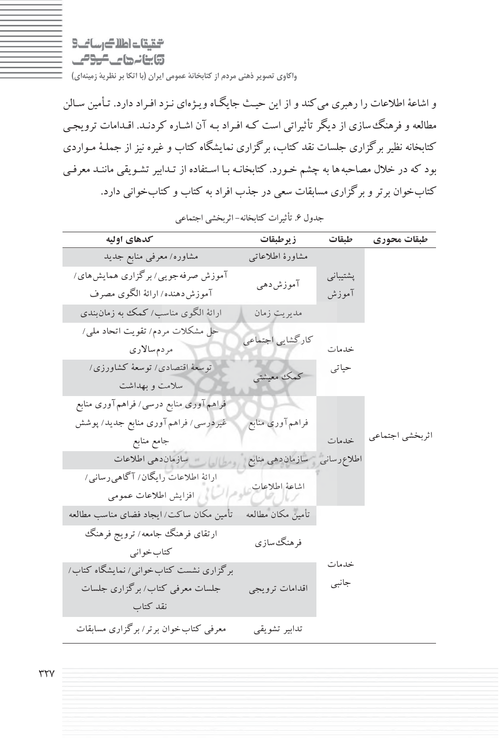التقيقات اطلاك رساني 3 وابنانها عالمومى

**واكاوي تصوير ذهني مردم از كتابخانة عمومي ايران (با اتكا بر نظرية زمينهاي )**

و اشاعة اطلاعات را رهبري ميكند و از اين حيـث جايگـاه ويـژهاي نـزد افـراد دارد. تـأمين سـالن مطالعه و فرهنگسازي از ديگر تأثيراتي است كـه افـراد بـه آن اشـاره كردنـد. اقـدامات ترويجـي كتابخانه نظير برگزاري جلسات نقد كتاب، برگزاري نمايشگاه كتاب و غيره نيز از جملـة مـواردي بود كه در خلال مصاحبهها به چشم خـورد. كتابخانـه بـا اسـتفاده از تـدابير تشـويقي ماننـد معرفـي كتابخوان برتر و برگزاري مسابقات سعي در جذب افراد به كتاب و كتابخواني دارد.

| كدهاى اوليه                              | زير طبقات                     | طبقات    | طبقات محوري     |
|------------------------------------------|-------------------------------|----------|-----------------|
| مشاوره/ معرفی منابع جدید                 | مشاورة اطلاعاتبي              |          |                 |
| آموزش صرفه جویبی/ برگزاری همایش های/     |                               | پشتيباني |                 |
| آموزش دهنده/ ارائهٔ الگوي مصرف           | آموزشدهي                      | آموزش    |                 |
| ارائهٔ الگوی مناسب/ کمک به زمانبندی      | مديريت زمان                   |          |                 |
| حل مشکلات مردم/ تقویت اتحاد ملی/         | كاركشايي اجتماعي              |          |                 |
| مردمسالاري                               |                               | خدمات    |                 |
| توسعهٔ اقتصادی/ توسعهٔ کشاورزی/          | كمك معيشتي                    | حياتي    |                 |
| سلامت و بهداشت                           |                               |          |                 |
| فراهم آوري منابع درسي/ فراهم آوري منابع  |                               |          |                 |
| غیردرسی/ فراهم آوری منابع جدید/ پوشش     | فراهم آورى منابع              |          |                 |
| جامع منابع                               |                               | خدمات    | اثربخشي اجتماعي |
| الطلاعات سازمان دهي اطلاعات              | اطلاع رسانى مسازمان دهى منابع |          |                 |
| ارائهٔ اطلاعات رایگان/ آگاهی رسانی/      | اشاعة اطلاعات                 |          |                 |
| المسلم افزايش اطلاعات عمومى              |                               |          |                 |
| تأمین مکان ساکت/ ایجاد فضای مناسب مطالعه | تأمين مكان مطالعه             |          |                 |
| ارتقای فرهنگ جامعه/ ترویج فرهنگ          | فرهنگ سازي                    |          |                 |
| كتاب خواني                               |                               |          |                 |
| برگزاری نشست کتاب خوانبی/ نمایشگاه کتاب/ |                               | خدمات    |                 |
| جلسات معرفی کتاب/ برگزاری جلسات          | اقدامات ترويجي                | جانبي    |                 |
| نقد كتاب                                 |                               |          |                 |
| معرفی کتاب خوان برتر/ برگزاری مسابقات    | تدابير تشويقى                 |          |                 |

جدول .6 تأثيرات كتابخانه - اثربخشي اجتماعي

 $\tau\tau\gamma$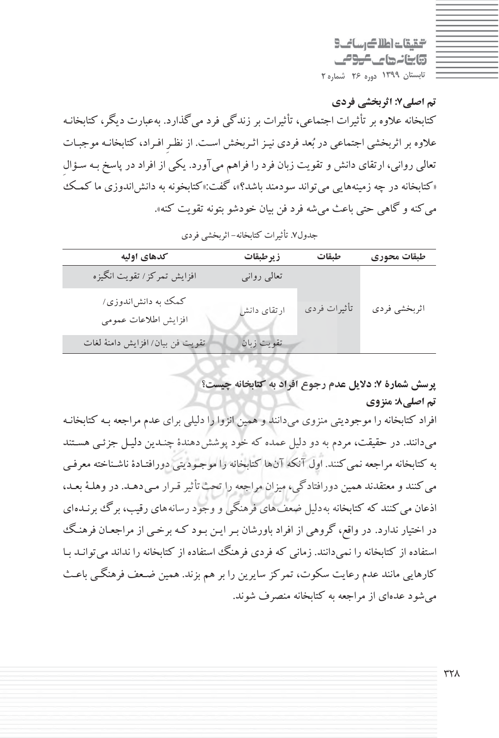التقيقات اطلاك رساني 3 وابنانهای کرومی **تابستان 1399 دوره 26 شماره 2**

**تم اصلي:7 اثربخشي فردي** كتابخانه علاوه بر تأثيرات اجتماعي، تأثيرات بر زندگي فرد ميگذارد. بهعبارت ديگر، كتابخانـه علاوه بر اثربخشي اجتماعي در بعد فردي نيـزاثـربخش اسـت. از نظـرِ افـراد، كتابخانـه موجبـات تعالي رواني، ارتقاي دانش و تقويت زبان فرد را فراهم ميآورد. يكي از افراد در پاسخ بـه سـؤالِ «كتابخانه در چه زمينههايي ميتواند سودمند باشد؟ :»، گفت «كتابخونه به دانشاندوزي ما كمـك ميكنه و گاهي حتي باعث ميشه فرد فن بيان خودشو بتونه تقويت كنه».

| كدهاى اوليه                                | زيرطبقات    | طيقات        | طبقات محوري  |
|--------------------------------------------|-------------|--------------|--------------|
| افزایش تمرکز/ تقویت انگیزه                 | تعالى روانى |              |              |
| کمک به دانشاندوزی/<br>افزايش اطلاعات عمومى | ارتقای دانش | تأثيرات فردي | اثربخشي فردي |
| تقويت فن بيان/ افزايش دامنهٔ لغات          | تقويت زبان  |              |              |
|                                            |             |              |              |

جدول.7 تأثيرات كتابخانه - اثربخشي فردي

**پرسش شمارة : 7 دلايل عدم رجوع افراد به كتابخانه چيست؟ تم اصلي8 : منزوي**

افراد كتابخانه را موجوديتي منزوي ميدانند و همين انزوا را دليلي براي عدم مراجعه بـه كتابخانـه ميدانند. در حقيقت، مردم به دو دليل عمده كه خود پوششدهندة چنـدين دليـل جزئـي هسـتند به كتابخانه مراجعه نميكنند. اول آنكه آنها كتابخانه را موجـوديتي دورافتـادة ناشـناخته معرفـي ميكنند و معتقدند همين دورافتادگي، ميزان مراجعه را تحثتأثير قـرار مـيدهـد. در وهلـة بعـد، اذعان مي كنند كه كتابخانه بهدليل ضعفهاي فرهنگي و وجود رسانههاي رقيب، برگ برنـدهاي در اختيار ندارد . در واقع، گروهي از افراد باورشان بـرايـن بـود كـه برخـي از مراجعـان فرهنـگ استفاده از كتابخانه را نميدانند. زماني كه فردي فرهنگ استفاده از كتابخانه را نداند ميتوانـد بـا كارهايي مانند عدم رعايت سكوت، تمركز سايرين را بر هم بزند. همين ضـعف فرهنگـي باعـث ميشود عدهاي از مراجعه به كتابخانه منصرف شوند.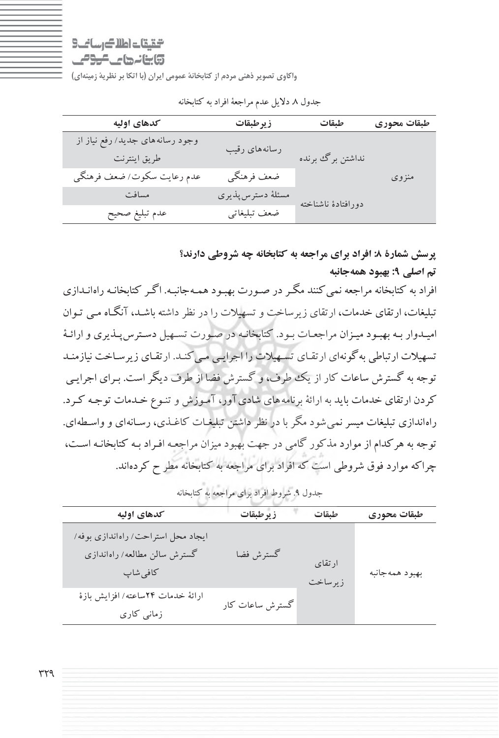$9 - i$  and  $4$  and  $6 - 7$ 

وابنانها ماكومي

**واكاوي تصوير ذهني مردم از كتابخانة عمومي ايران (با اتكا بر نظرية زمينهاي )**

| كدهاى اوليه                     | زيرطبقات          | طبقات              | طبقات محوري |
|---------------------------------|-------------------|--------------------|-------------|
| وجود رسانههای جدید/ رفع نیاز از |                   |                    |             |
| طريق اينترنت                    | رسانههای رقیب     | نداشتن برگ برنده   |             |
| عدم رعايت سكوت/ضعف فرهنگي       | ضعف فرهنگي        |                    | منزوى       |
| مسافت                           | مسئلة دسترس پذيري | دورافتادة ناشناخته |             |
| عدم تبليغ صحيح                  | ضعف تبليغاتي      |                    |             |

جدول 8. دلايل عدم مراجعة افراد به كتابخانه

# **پرسش شمارة : 8 افراد براي مراجعه به كتابخانه چه شروطي دارند؟ تم اصلي 9 : بهبود همهجانبه** افراد به كتابخانه مراجعه نميكنند مگـردر صـورت بهبـود همـه جانبـه. اگـر كتابخانـه راه انـدازي

تبليغات، ارتقاي خدمات، ارتقاي زيرساخت وتسهيلات را در نظرداشته باشـد، آنگـاه مـي تـوان اميـدوار بـه بهبـود ميـزان مراجعـات بـود. كتابخانـه در صـورت تسـهيل دسـترسپـذيري وارائـة تسهيلات ارتباطي بهگونهاي ارتقـاي تسـهيلات را اجرايـي مـيكنـد. ارتقـاي زيرسـاخت نيازمنـد توجه به گسترش ساعات كار از يك طرف، و گسترش فضا از طرف ديگراست. بـراي اجرايـي كردن ارتقاي خدمات بايد به ارائة برنامههاي شاديآور، آمـوزش و تنـوع خـدمات توجـه كـرد. راهاندازي تبليغات ميسرنميشود مگربا در نظرداشتن تبليغـات كاغـذي، رسـانهاي و واسـطهاي. توجه به هركدام از موارد مذكور گامي در جهت بهبود ميزان مراجعـه افـراد بـه كتابخانـه اسـت، چراكه موارد فوق شروطي است كه افراد براي مراجعه به كتابخانه مطر ح كردهاند .

| جنگون ۰. سروت افزاد برای مراجعه به اسابعتانه                                   |                 |                   |                |
|--------------------------------------------------------------------------------|-----------------|-------------------|----------------|
| كدهاى اوليه                                                                    | زيرطبقات        | طبقات             | طبقات محوري    |
| ایجاد محل استراحت/ راهاندازی بوفه/<br>گسترش سالن مطالعه/ راهاندازی<br>كافى شاپ | گسترش فضا       | ارتقاي<br>زيرساخت | بهبود همهجانبه |
| ارائة خدمات ٢۴ساعته/ افزايش بازة<br>زمانی کاری                                 | گسترش ساعات کار |                   |                |

جدول .9 شروط افراد براي مراجعه به كتابخانه

٣٢٩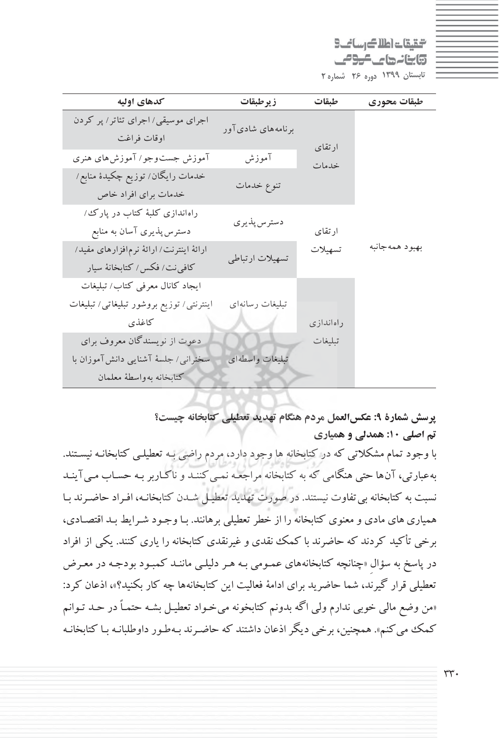التقيقات اطلاك رساني 3 وابنانها والموالي **تابستان 1399 دوره 26 شماره 2**

| كدهاى اوليه                                                              | زيرطبقات          | طبقات     | طبقات محوري    |
|--------------------------------------------------------------------------|-------------------|-----------|----------------|
| اجرای موسیقی/اجرای تئاتر/ پر کردن<br>اوقات فراغت                         | برنامههای شادیآور | ارتقاي    |                |
| آموزش جست وجو/ آموزش های هنری                                            | آموزش             | خدمات     |                |
| خدمات رايگان/ توزيع چکيدۀ منابع/<br>خدمات براي افراد خاص                 | تنوع خدمات        |           |                |
| راه اندازی کلبهٔ کتاب در پارک ⁄<br>دسترس پذیری آسان به منابع             | دسترس پذيري       | ارتقاي    |                |
| ارائهٔ اینترنت/ ارائهٔ نرمافزارهای مفید/<br>كافي نت/ فكس/ كتابخانهٔ سيار | تسهيلات ارتباطي   | تسهيلات   | بهبود همهجانبه |
| ایجاد کانال معرفی کتاب/ تبلیغات                                          |                   |           |                |
| اینترنتی/ توزیع بروشور تبلیغاتی/ تبلیغات                                 | تبليغات رسانهاي   |           |                |
| كاغذى                                                                    |                   | راهاندازى |                |
| دعوت از نویسندگان معروف برای                                             |                   | تبليغات   |                |
| سخنرانی/ جلسهٔ آشنایی دانش آموزان با                                     | تبليغات واسطهاى   |           |                |
| كتابخانه بهواسطة معلمان                                                  |                   |           |                |

**پرسش شمارة : 9 عكسالعمل مردم هنگام تهديد تعطيلي كتابخانه چيست؟ تم اصلي :10 همدلي و همياري**

با وجود تمام مشكلاتي كه در كتابخانه ها وجود دارد، مردم راضي بـه تعطيلـي كتابخانـه نيسـتند. بهعبارتي، آنها حتي هنگامي كه به كتابخانه مراجعـه نمـي كننـد و ناكـاربر بـه حسـاب مـي آينـد نسبت به كتابخانه بيتفاوت نيستند. در صورت تهديد تعطيـل شـدن كتابخانـه، افـراد حاضـرند بـا همياريهاي مادي و معنوي كتابخانه را از خطرتعطيلي برهانند. بـا وجـود شـرايط بـد اقتصـادي، برخي تأكيد كردند كه حاضرند با كمك نقدي و غيرنقدي كتابخانه را ياري كنند. يكي از افراد در پاسخ به سؤالِ «چنانچه كتابخانههاي عمـومي بـه هـر دليلـي ماننـد كمبـود بودجـه در معـرض تعطيلي قرار گيرند، شما حاضريد براي ادامة فعاليت اين كتابخانهها چه كار بكنيد؟»، اذعان كرد: «من وضع مالي خوبي ندارم ولي اگه بدونم كتابخونه ميخـواد تعطيـل بشـه حتمـاً در حـد تـوانم كمك مي كنم». همچنين، برخي ديگر اذعان داشتند كه حاضـرند بـهطـور داوطلبانـه بـا كتابخانـه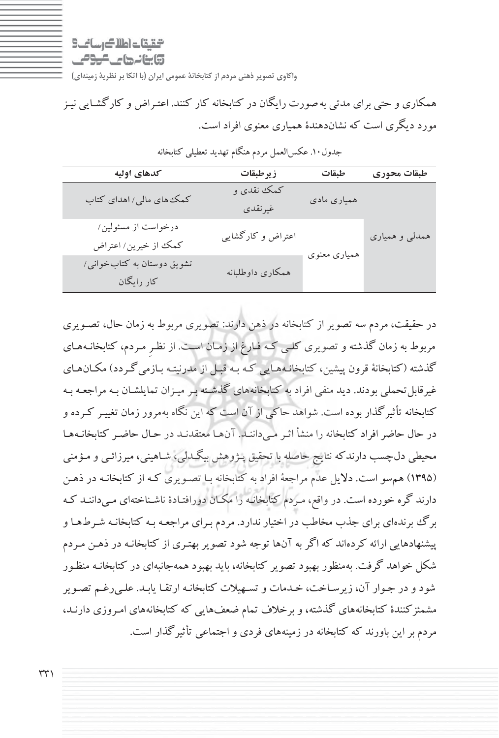$9 - i$  and  $4$  and  $6 - 7$ وابنانها ماكومي

همكاري و حتي براي مدتي بهصورت رايگان در كتابخانه كار كنند. اعتـراض و كارگشـايي نيـز مورد ديگري است كه نشاندهندة همياري معنوي افراد است .

| كدهاى اوليه                                 | زيرطبقات              | طيقات        | طبقات محوري    |
|---------------------------------------------|-----------------------|--------------|----------------|
| کمک های مالی/ اهدای کتاب                    | کمک نقدی و<br>غيرنقدي | همیاری مادی  |                |
| درخواست از مسئولین/<br>كمك از خيرين/ اعتراض | اعتراض و کارگشایی     | همیاری معنوی | همدلي و همیاري |
| تشویق دوستان به کتاب خوانبی/<br>کار رایگان  | همکاری داوطلبانه      |              |                |

جدول.10 عكسالعمل مردم هنگام تهديد تعطيلي كتابخانه

در حقيقت، مردم سه تصوير از كتابخانه در ذهن دارند: تصويري مربوط به زمان حال، تصـويري مربوط به زمان گذشته و تصويري كلـي كـه فـارغ از زمـان اسـت. از ِ نظـر مـردم، كتابخانـه هـاي گذشته (كتابخانة قرون پيشين، كتابخانـههـايي كـه بـه قبـل از مدرنيتـه بـازمي گـردد) مكـانهـاي غيرقابلتحملي بودند. ديد منفي افراد به كتابخانههاي گذشـته بـر ميـزان تمايلشـان بـه مراجعـه بـه كتابخانه تأثيرگذار بوده است. شواهد حاكي از آن است كه اين نگاه بهمرور زمان تغييـر كـرده و در حال حاضرافراد كتابخانه را منشأ اثـر مـي داننـد . آنهـا معتقدنـد در حـال حاضـر كتابخانـههـا محيطي دلچسب دارندكه نتايج حاصله با تحقيق پـژوهش بيگـدلي، شـاهيني، ميرزائـي و مـؤمني (1395) همسو است. دلايل عدم مراجعة افراد به كتابخانه بـا تصـويري كـه از كتابخانـه در ذهـن دارند گره خورده است. در واقع، مـردم كتابخانـه را مكـان دورافتـادة ناشـناختهاي مـيداننـد كـه برگ برندهاي براي جذب مخاطب در اختيار ندارد. مردم بـراي مراجعـه بـه كتابخانـه شـرط هـا و پيشنهادهايي ارائه كردهاند كه اگر به آنها توجه شود تصوير بهتـري از كتابخانـه در ذهـن مـردم شكل خواهد گرفت. بهمنظور بهبود تصوير كتابخانه، بايد بهبود همه جانبهاي در كتابخانـه منظـور شود و در جـوار آن، زيرسـاخت، خـدمات و تسـهيلات كتابخانـه ارتقـا يابـد. علـي رغـم تصـوير مشمئزكنندة كتابخانههاي گذشته، و برخلاف تمام ضعفهايي كه كتابخانههاي امـروزي دارنـد، مردم براين باورند كه كتابخانه در زمينههاي فردي و اجتماعي تأثيرگذار است.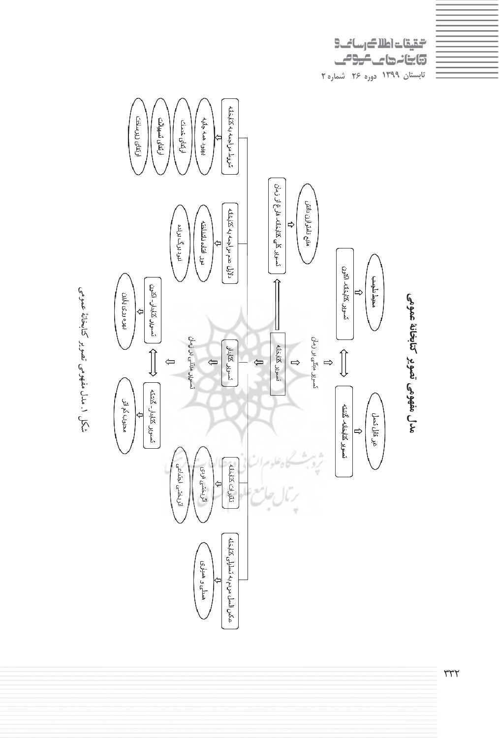

التقيقات اطلاك رسائك

كالنائمات

عمومي كتابخانةتصوير<br>تصوير مفهومي مدل $\ddot{\phantom{0}}$ شكل

٣٣٢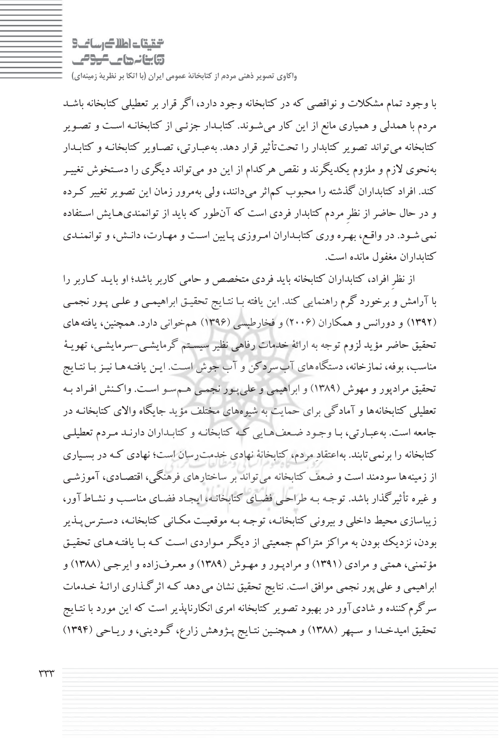الكارسات اطلاك رسائك وابنانها ماكومي

با وجود تمام مشكلات و نواقصي كه در كتابخانه وجود دارد، اگر قرار برتعطيلي كتابخانه باشـد مردم با همدلي و همياري مانع از اين كار ميشـوند. كتابـدار جزئـي از كتابخانـه اسـت وتصـوير كتابخانه ميتواند تصوير كتابدار را تحتتأثير قرار دهد. بهعبـارتي، تصـاوير كتابخانـه و كتابـدار بهنحوي لازم و ملزوم يكديگرند و نقص هركدام از اين دو ميتواند ديگري را دسـتخوش تغييـر كند. افراد كتابداران گذشته را محبوب كماثر ميدانند، ولي بهمرور زمان اين تصويرتغيير كـرده و در حال حاضراز نظرِ مردم كتابدار فردي است كه آنطور كه بايد از توانمنديهـايش اسـتفاده نميشـود. درواقـع، بهـرهوري كتابـداران امـروزي پـايين اسـت ومهـارت، دانـش،وتوانمنـدي كتابداران مغفول مانده است.

از نظرِ افراد، كتابداران كتابخانه بايد فردي متخصص و حامي كاربر باشد؛ او بايـد كـاربر را با آرامش و برخورد گرم راهنمايي كند. اين يافته بـا نتـايج تحقيـق ابراهيمـي و علـي پـور نجمـي (1392 ) و دورانس و همكاران ( 2006) و فخارطبسي ( 1396 ) همخواني دارد. همچنين، يافتههاي تحقيق حاضر مؤيد لزوم توجه به ارائة خدمات رفاهي نظير سيسـتم گرمايشـي -سرمايشـي، تهويـة مناسب، بوفه، نمازخانه، دستگاههاي آبسردكن وآب جوش اسـت. ايـن يافتـه هـا نيـز بـا نتـايج تحقيق مرادپور و مهوش (1389) و ابراهيمي و عليپـور نجمـي هـمسـو اسـت. واكـنش افـراد بـه تعطيلي كتابخانهها و آمادگي براي حمايت به شيوههاي مختلف مؤيد جايگاه والاي كتابخانـه در جامعه است. به عبـارتي، بـا وجـود ضـعف هـايي كـه كتابخانـه و كتابـداران دارنـد مـردم تعطيلـي كتابخانه را برنميتابند. بهاعتقاد مردم، كتابخانة نهادي خدمترسان است؛ نهادي كـه در بسـياري از زمينهها سودمند است و ضعف كتابخانه ميتواند بر ساختارهاي فرهنگي، اقتصـادي، آموزشـي وغيره تأثيرگذار باشد. توجـه بـه طراحـي فضـاي كتابخانـه، ايجـاد فضـاي مناسـب و نشـاطآور، زيباسازي محيط داخلي و بيروني كتابخانـه، توجـه بـه موقعيـت مكـاني كتابخانـه، دسـترس پـذير بودن، نزديك بودن به مراكز متراكم جمعيتي از ديگـر مـواردي اسـت كـه بـا يافتـه هـاي تحقيـق مؤتمني، همتي و مرادي (1391) و مرادپـور و مهـوش ( 1389 ) و معـرفزاده و ايرجـي ( 1388 ) و ابراهيمي وعليپور نجمي موافق است. نتايج تحقيق نشان ميدهد كـه اثرگـذاري ارائـة خـدمات سرگرمكننده و شاديآور در بهبود تصوير كتابخانه امري انكارناپذير است كه اين مورد با نتـايج تحقيق اميدخـدا و سـپهر (1388 ) و همچنـين نتـايج پـژوهش زارع، گـوديني، وريـاحي (1394)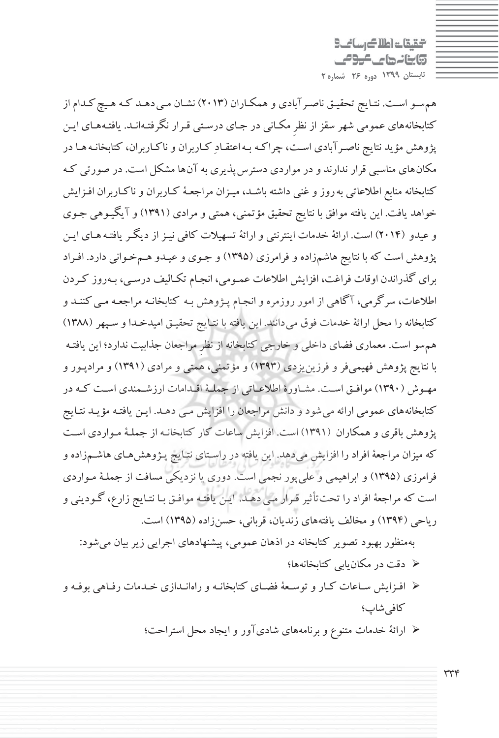التقيقات اطلاك رساني وابنانها كالموامي **تابستان 1399 دوره 26 شماره 2**

 همسـو اسـت. نتـايج تحقيـق ناصـرآبادي و همكـاران ( 2013) نشـان مـي دهـد كـه هـيچ كـدام از كتابخانههاي عمومي شهر سقزاز نظرِ مكـاني در جـاي درسـتي قـرار نگرفتـه انـد. يافتـه هـاي ايـن پژوهش مؤيد نتايج ناصـرآبادي اسـت، چراكـه بـه اعتقـاد كـاربران و ناكـاربران، كتابخانـه هـا در مكانهاي مناسبي قرار ندارند و در مواردي دسترسپذيري به آنها مشكل است. در صورتي كـه كتابخانه منابع اطلاعاتي بهروز و غني داشته باشـد، ميـزان مراجعـة كـاربران و ناكـاربران افـزايش خواهد يافت. اين يافته موافق با نتايج تحقيق مؤتمني، همتي و مرادي (1391) و آيگيـوهي جـوي و عيدو (2014) است. ارائة خدمات اينترنتي وارائة تسهيلات كافي نيـزاز ديگـر يافتـه هـاي ايـن پژوهش است كه با نتايج هاشمزاده و فرامرزي (1395) و جـوي و عيـدو هـمخـواني دارد. افـراد براي گذراندن اوقات فراغت، افزايش اطلاعات عمـومي، انجـام تكـاليف درسـي، بـه روز كـردن اطلاعات، سرگرمي، آگاهي از امور روزمره و انجـام پـژوهش بـه كتابخانـه مراجعـه مـي كننـد و كتابخانه را محل ارائة خدمات فوق ميدانند. اين يافته با نتـايج تحقيـق اميدخـدا و سـپهر (1388) همسو است. معماري فضاي داخلي و خارجي كتابخانه از نظرِ مراجعان جذابيت ندارد؛ اين يافتـه با نتايج پژوهش فهيميفر و فرزينيزدي (1393) و مؤتمني، همتي و مرادي (1391) و مرادپـور و مهـوش (1390) موافـق اسـت. مشـاورة اطلاعـاتي از جملـة اقـدامات ارزشـمندي اسـت كـه در كتابخانههاي عمومي ارائه ميشود و دانش مراجعان را افزايش مـي دهـد. ايـن يافتـه مؤيـد نتـايج پژوهش باقري و همكاران (1391) است. افزايش ساعات كار كتابخانـه از جملـة مـواردي اسـت كه ميزان مراجعة افراد را افزايش ميدهد. اين يافته در راسـتاي نتـايج پـژوهشهـاي هاشـمزاده و فرامرزي (1395) و ابراهيمي وعليپور نجمي است . دوري يا نزديكي مسافت از جملـة مـواردي است كه مراجعة افراد را تحتتأثير قـرار مـي دهـد . ايـن يافتـه موافـق بـا نتـايج زارع، گـوديني و رياحي (1394) و مخالف يافتههاي زنديان، قرباني، حسنزاده (1395) است .

بهمنظور بهبود تصوير كتابخانه در اذهان عمومي، پيشنهادهاي اجرايي زير بيان ميشود : 3/4 دقت در مكانيابي كتابخانهها؛

- 3/4 افـزايش سـاعات كـار و توسـعة فضـاي كتابخانـهو راهانـدازي خـدمات رفـاهي بوفـه و كافي شاپ؛
	- 3/4 ارائة خدمات متنوع و برنامههاي شاديآور و ايجاد محل استراحت؛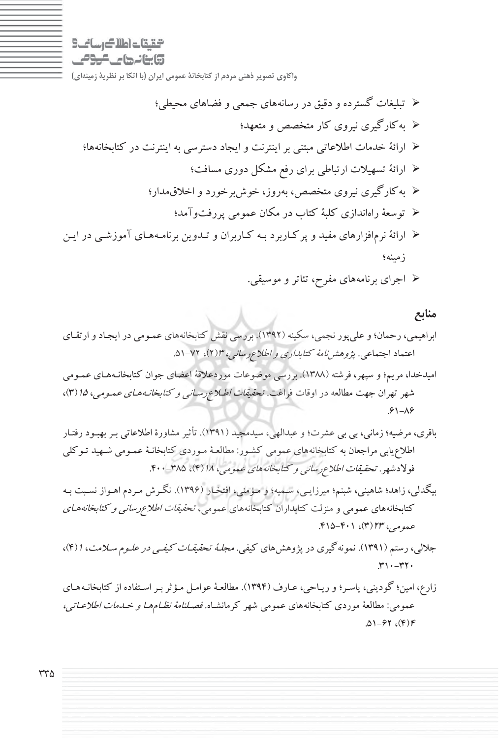التقاعات اطلاك رساني وابنانها عاكومي

**واكاوي تصوير ذهني مردم از كتابخانة عمومي ايران (با اتكا بر نظرية زمينهاي )**

- 3/4 تبليغات گسترده و دقيق در رسانههاي جمعي و فضاهاي محيطي؛ 3/4 بهكارگيري نيروي كار متخصص و متعهد؛ 3/4 ارائة خدمات اطلاعاتي مبتني براينترنت و ايجاد دسترسي به اينترنت در كتابخانهها؛ 3/4 ارائة تسهيلات ارتباطي براي رفع مشكل دوري مسافت؛ 3/4 بهكارگيري نيروي متخصص، بهروز، خوشبرخورد و اخلاقمدار؛ 3/4 توسعة راهاندازي كلبة كتاب در مكان عمومي پررفتوآمد؛ 3/4 ارائة نرمافزارهاي مفيد و پركـاربرد بـه كـاربران و تـدوين برنا مـههـاي آموزشـي در ايـن زمينه؛
	- 3/4 اجراي برنامههاي مفرح، تئاتر و . موسيقي

**منابع**

- ابراهيمي، رحمان؛ و عليپور نجمي، سكينه ( 1392). بررسي نقش كتابخانههاي عمـومي در ايجـاد و ارتقـاي اعتماد اجتماعي. پژوهش*نامهٔ كتابداري و اطلاع*رس*اني، ۱۳(*۲)، ۷۲-۵۱.
- اميدخدا، مريم؛ و سپهر، فرشته (1388). بررسي موضوعات موردعلاقة اعضاي جوان كتابخانـههـاي عمـومي شهر تهران جهت مطالعه در اوقات فراغت. تحقيقات اطـلاعرسـاني <sup>و</sup> كتابخانـههـاي عمـومي، <sup>15</sup> 3( )،  $.91 - A9$
- باقري، مرضيه؛ زماني، بي بي عشرت؛ و عبدالهي، سيدمجيد ( 1391). تأثير مشاورة اطلاعاتي بـر بهبـود رفتـار اطلاعيابي مراجعان به كتابخانههاي عمومي كشـور: مطالعـة مـوردي كتابخانـة عمـومي شـهيد تـوكلي فولادشهر. تحقيقات اطلاعرساني <sup>و</sup> كتابخانههاي عمومي، <sup>18</sup> )4( ، 400-385 .
- بيگدلي، زاهد؛ شاهيني، شبنم؛ ميرزايـي، سـميه؛ و مـؤمني، افتخـار (1396 .) نگـرش مـردم اهـواز نسـبت بـه كتابخانههاي عمومي و منزلت كتابداران كتابخانههاي عمومي، تحقيقات اطلاعرساني <sup>و</sup> كتابخانههـاي عمومي، ٢٣ (٣)، ٢٠١١-٢١۵.
- جلالي، رستم (١٣٩١). نمونهگيري در پژوهش هاي كيفي. *مجلـهٔ تحقيقـات كيفـي در علـوم سـلامت*، ١(۴)،  $.77 - 77.$
- زارع، امين؛ گوديني، ياسـر؛ و ريـاحي، عـارف ( 1394). مطالعـة عوامـل مـؤثر بـر اسـتفاده از كتابخانـه هـاي عمومي: مطالعة موردي كتابخانههاي عمومي شهر كرمانشـاه. فصـلنامة نظـام هـا <sup>و</sup> خـدمات اطلاعـاتي،  $.01-97$  (F)F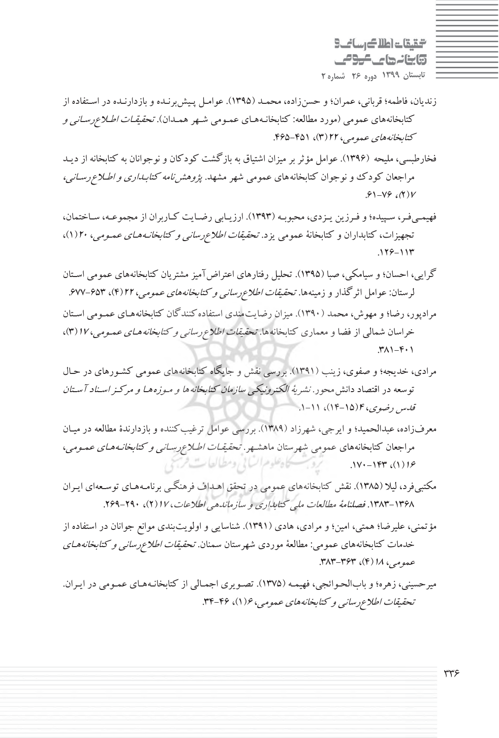التقيقات اطلاك رساني 3 وابنانهای کرومی **تابستان 1399 دوره 26 شماره 2**

- زنديان، فاطمه؛ قرباني، عمران؛ و حسنزاده، محمـد (1395). عوامـل پـيش برنـده و بازدارنـده در اسـتفاده از كتابخانههاي عمومي ( مورد مطالعه: كتابخانـه هـاي عمـومي شـهر همـدان). تحقيقـات اطـلاعرسـاني <sup>و</sup> كتابخانههاي عمومي، <sup>22</sup> 3( )، 465-451 .
- فخارطبسي، مليحه (1396). عوامل مؤثر بر ميزان اشتياق به بازگشت كودكان و نوجوانان به كتابخانه از ديـد مراجعان كودك و نوجوان كتابخانههاي عمومي شهر مشهد. پژوهشنامه كتابـداري <sup>و</sup> اطـلاع رسـاني،  $.61 - V9.$  ( Y) V
- فهيمـيفـر، سـپيده؛ و فـرزين يـزدي، محبوبـه (1393). ارزيـابي رضـايت كـاربران از مجموعـه، سـاختمان، تجهيزات، كتابداران و كتابخانة عمومي يزد . تحقيقات اطلاعرساني <sup>و</sup> كتابخانـههـاي عمـومي، <sup>20</sup> 1( )،  $.119 - 117$
- گرايي، احسان؛ و سيامكي، صبا (1395). تحليل رفتارهاي اعتراضآميز مشتريان كتابخانههاي عمومي اسـتان لرستان: عوامل اثرگذار و زمينهها. *تحقيقات اطلاع رساني و كتابخانههاي عمومي، ٢٢ (٤*٣)، ۶۷۳-۶۷۷. مرادپور، رضا؛ و مهوش، محمد (1390). ميزان رضايتمندي استفادهكنندگان كتابخانه هـاي عمـومي اسـتان
- خراسان شمالي از فضا و معماري كتابخانهها. تحقي*قات اطلاع رساني و كتابخانه هـاي عمـومي، ١٧ (*٣)،  $\mathcal{M}$  $\mathcal{F}$  $\cdot$  $\Lambda$
- مرادي، خديجه؛ و صفوي، زينب (1391). بررسي نقش و جايگاه كتابخانههاي عمومي كشـورهاي در حـال توسعه در اقتصاد دانش محور. *نشرية الكترونيكي سازمان كتابخانه ها و مـوزه هـا و مركـز اسـناد آسـتان* قدس رضوي، <sup>4</sup>(14-15)، 11 -1.
- معرفزاده، عبدالحميد؛ و ايرجي، شهرزاد (1389). بررسي عوامل ترغيبكننده و بازدارندة مطالعه در ميـان مراجعان كتابخانههاي عمومي شهرستان ماهشـهر. *تحقيقـات اطـلاع رسـاني و كتابخانـههـاي عمـومي*، يحاه علوم السابي ومطالعات فرس  $.1Y-1$ ۴۳  $. (1)19$
- مكتبيفرد، ليلا ( 1385). نقش كتابخانههاي عمومي در تحقق اهـداف فرهنگـي برنامـه هـاي توسـعهاي ايـران ۱۳۶۸-۱۳۸۳. فصلنامهٔ مطالعات ملي كتابداري و سازماندهي اطلاعات، ۱۷ ( ۲)، ۲۹۰-۲۶۹.
- مؤتمني، عليرضا؛ همتي، امين؛ و مرادي، هادي (١٣٩١). شناسايي و اولويتبندي موانع جوانان در استفاده از خدمات كتابخانههاي عمومي: مطالعهٔ موردي شهرستان سمنان تح*قيقات اطلاع رساني و كتابخانههـاي* عبومي، 1/ (۴)، ۳۶۳-۳۸۳.
- ميرحسيني، زهره؛ و باب الحـوائجي، فهيمـه ( 1375). تصـويري اجمـالي از كتابخانـه هـاي عمـومي در ايـران. تحقيقات اطلاع رسانيي و كتابخانههاي عمومي، ۱۶(۱)، ۴۶-۳۴.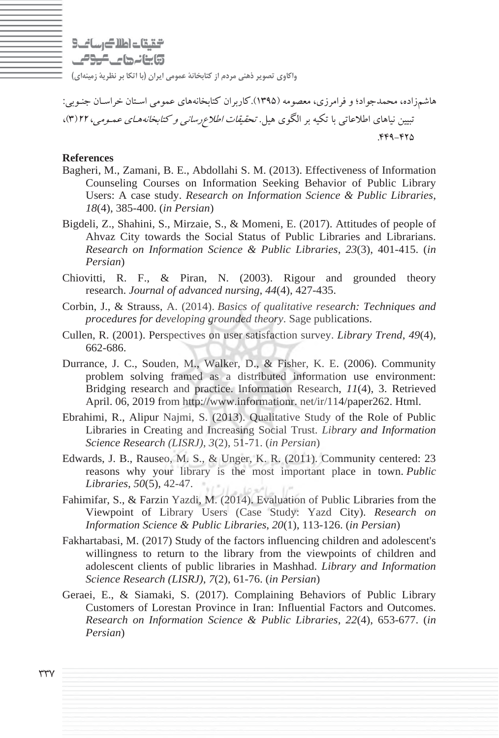التقيقات اطلاك رساني 3 وابنانها عاصومي

**واكاوي تصوير ذهني مردم از كتابخانة عمومي ايران (با اتكا بر نظرية زمينهاي )**

هاشمزاده، محمدجواد؛ و فرامرزي، معصومه (1395).كاربران كتابخانههاي عمومي اسـتان خراسـان جنـوبي: تبيين نياهاي اطلاعاتي با تكيه بر الگوي هيل. *تحقيقات اطلاع رساني و كتابخانه هـاي عمـومي*، ٢٢(٣)، .449-425

#### **References**

- Bagheri, M., Zamani, B. E., Abdollahi S. M. (2013). Effectiveness of Information Counseling Courses on Information Seeking Behavior of Public Library Users: A case study. *Research on Information Science & Public Libraries*, *18*(4), 385-400. (*in Persian*)
- Bigdeli, Z., Shahini, S., Mirzaie, S., & Momeni, E. (2017). Attitudes of people of Ahvaz City towards the Social Status of Public Libraries and Librarians. *Research on Information Science & Public Libraries*, *23*(3), 401-415. (*in Persian*)
- Chiovitti, R. F., & Piran, N. (2003). Rigour and grounded theory research. *Journal of advanced nursing*, *44*(4), 427-435.
- Corbin, J., & Strauss, A. (2014). *Basics of qualitative research: Techniques and procedures for developing grounded theory*. Sage publications.
- Cullen, R. (2001). Perspectives on user satisfaction survey. *Library Trend*, *49*(4), 662-686.
- Durrance, J. C., Souden, M., Walker, D., & Fisher, K. E. (2006). Community problem solving framed as a distributed information use environment: Bridging research and practice. Information Research, *11*(4), 3. Retrieved April. 06, 2019 from http://www.informationr. net/ir/114/paper262. Html.
- Ebrahimi, R., Alipur Najmi, S. (2013). Qualitative Study of the Role of Public Libraries in Creating and Increasing Social Trust. *Library and Information Science Research (LISRJ)*, *3*(2), 51-71. (*in Persian*)
- Edwards, J. B., Rauseo, M. S., & Unger, K. R. (2011). Community centered: 23 reasons why your library is the most important place in town. *Public Libraries*, *50*(5), 42-47.
- Fahimifar, S., & Farzin Yazdi, M. (2014). Evaluation of Public Libraries from the Viewpoint of Library Users (Case Study: Yazd City). *Research on Information Science & Public Libraries*, *20*(1), 113-126. (*in Persian*)
- Fakhartabasi, M. (2017) Study of the factors influencing children and adolescent's willingness to return to the library from the viewpoints of children and adolescent clients of public libraries in Mashhad. *Library and Information Science Research (LISRJ)*, *7*(2), 61-76. (*in Persian*)
- Geraei, E., & Siamaki, S. (2017). Complaining Behaviors of Public Library Customers of Lorestan Province in Iran: Influential Factors and Outcomes. *Research on Information Science & Public Libraries*, *22*(4), 653-677. (*in Persian*)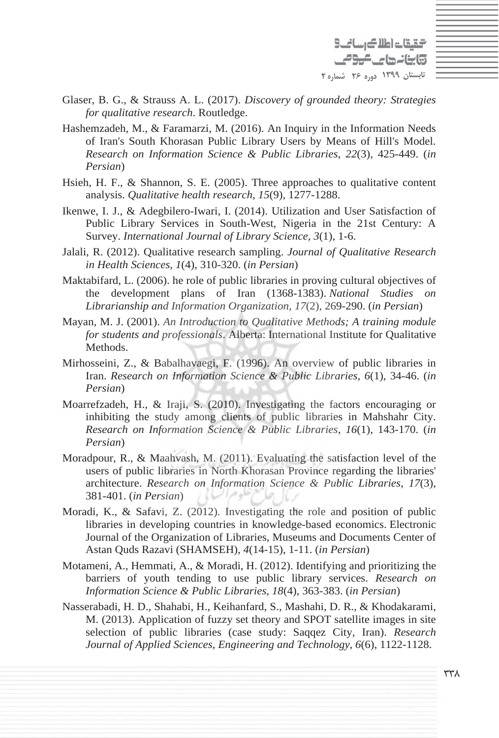التقيقات اطلاك رسانك وابنانها كالومي **تابستان 1399 دوره 26 شماره 2**

- Glaser, B. G., & Strauss A. L. (2017). *Discovery of grounded theory: Strategies for qualitative research*. Routledge.
- Hashemzadeh, M., & Faramarzi, M. (2016). An Inquiry in the Information Needs of Iran's South Khorasan Public Library Users by Means of Hill's Model. *Research on Information Science & Public Libraries*, *22*(3), 425-449. (*in Persian*)
- Hsieh, H. F., & Shannon, S. E. (2005). Three approaches to qualitative content analysis. *Qualitative health research*, *15*(9), 1277-1288.
- Ikenwe, I. J., & Adegbilero-Iwari, I. (2014). Utilization and User Satisfaction of Public Library Services in South-West, Nigeria in the 21st Century: A Survey. *International Journal of Library Science*, *3*(1), 1-6.
- Jalali, R. (2012). Qualitative research sampling. *Journal of Qualitative Research in Health Sciences*, *1*(4), 310-320. (*in Persian*)
- Maktabifard, L. (2006). he role of public libraries in proving cultural objectives of the development plans of Iran (1368-1383). *National Studies on Librarianship and Information Organization*, *17*(2), 269-290. (*in Persian*)
- Mayan, M. J. (2001). *An Introduction to Qualitative Methods; A training module for students and professionals*. Alberta: International Institute for Qualitative Methods.
- Mirhosseini, Z., & Babalhavaegi, F. (1996). An overview of public libraries in Iran. *Research on Information Science & Public Libraries*, *6*(1), 34-46. (*in Persian*)
- Moarrefzadeh, H., & Iraji, S. (2010). Investigating the factors encouraging or inhibiting the study among clients of public libraries in Mahshahr City. *Research on Information Science & Public Libraries*, *16*(1), 143-170. (*in Persian*)
- Moradpour, R., & Maahvash, M. (2011). Evaluating the satisfaction level of the users of public libraries in North Khorasan Province regarding the libraries' architecture. *Research on Information Science & Public Libraries*, *17*(3), 381-401. (*in Persian*)
- Moradi, K., & Safavi, Z. (2012). Investigating the role and position of public libraries in developing countries in knowledge-based economics. Electronic Journal of the Organization of Libraries, Museums and Documents Center of Astan Quds Razavi (SHAMSEH), *4*(14-15), 1-11. (*in Persian*)
- Motameni, A., Hemmati, A., & Moradi, H. (2012). Identifying and prioritizing the barriers of youth tending to use public library services. *Research on Information Science & Public Libraries*, *18*(4), 363-383. (*in Persian*)
- Nasserabadi, H. D., Shahabi, H., Keihanfard, S., Mashahi, D. R., & Khodakarami, M. (2013). Application of fuzzy set theory and SPOT satellite images in site selection of public libraries (case study: Saqqez City, Iran). *Research Journal of Applied Sciences*, *Engineering and Technology*, *6*(6), 1122-1128.